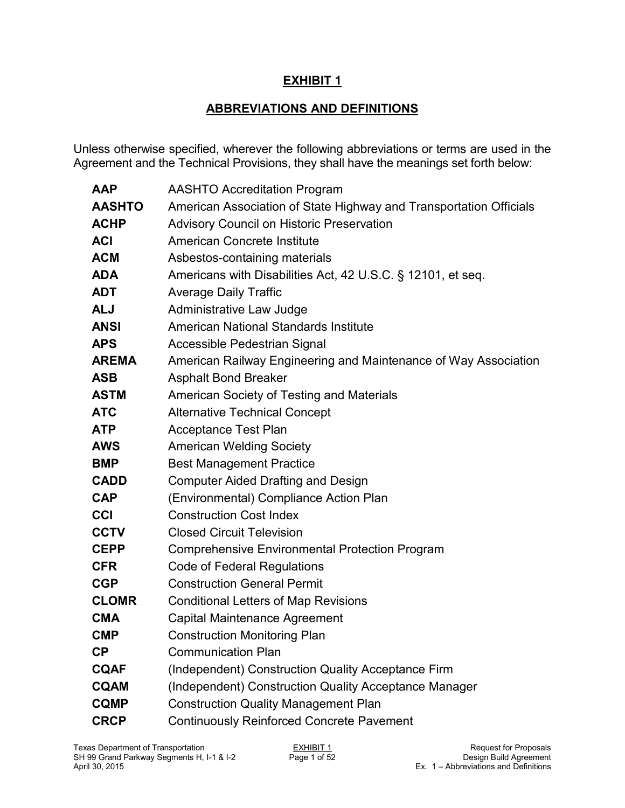## **EXHIBIT 1**

## **ABBREVIATIONS AND DEFINITIONS**

Unless otherwise specified, wherever the following abbreviations or terms are used in the Agreement and the Technical Provisions, they shall have the meanings set forth below:

| <b>AAP</b>    | <b>AASHTO Accreditation Program</b>                                |
|---------------|--------------------------------------------------------------------|
| <b>AASHTO</b> | American Association of State Highway and Transportation Officials |
| <b>ACHP</b>   | <b>Advisory Council on Historic Preservation</b>                   |
| <b>ACI</b>    | American Concrete Institute                                        |
| <b>ACM</b>    | Asbestos-containing materials                                      |
| <b>ADA</b>    | Americans with Disabilities Act, 42 U.S.C. § 12101, et seq.        |
| <b>ADT</b>    | <b>Average Daily Traffic</b>                                       |
| <b>ALJ</b>    | Administrative Law Judge                                           |
| <b>ANSI</b>   | American National Standards Institute                              |
| <b>APS</b>    | Accessible Pedestrian Signal                                       |
| <b>AREMA</b>  | American Railway Engineering and Maintenance of Way Association    |
| <b>ASB</b>    | <b>Asphalt Bond Breaker</b>                                        |
| <b>ASTM</b>   | American Society of Testing and Materials                          |
| <b>ATC</b>    | <b>Alternative Technical Concept</b>                               |
| <b>ATP</b>    | <b>Acceptance Test Plan</b>                                        |
| <b>AWS</b>    | <b>American Welding Society</b>                                    |
| <b>BMP</b>    | <b>Best Management Practice</b>                                    |
| <b>CADD</b>   | <b>Computer Aided Drafting and Design</b>                          |
| <b>CAP</b>    | (Environmental) Compliance Action Plan                             |
| <b>CCI</b>    | <b>Construction Cost Index</b>                                     |
| <b>CCTV</b>   | <b>Closed Circuit Television</b>                                   |
| <b>CEPP</b>   | <b>Comprehensive Environmental Protection Program</b>              |
| <b>CFR</b>    | Code of Federal Regulations                                        |
| <b>CGP</b>    | <b>Construction General Permit</b>                                 |
| <b>CLOMR</b>  | <b>Conditional Letters of Map Revisions</b>                        |
| <b>CMA</b>    | Capital Maintenance Agreement                                      |
| <b>CMP</b>    | Construction Monitoring Plan                                       |
| <b>CP</b>     | <b>Communication Plan</b>                                          |
| <b>CQAF</b>   | (Independent) Construction Quality Acceptance Firm                 |
| <b>CQAM</b>   | (Independent) Construction Quality Acceptance Manager              |
| <b>CQMP</b>   | <b>Construction Quality Management Plan</b>                        |
| <b>CRCP</b>   | <b>Continuously Reinforced Concrete Pavement</b>                   |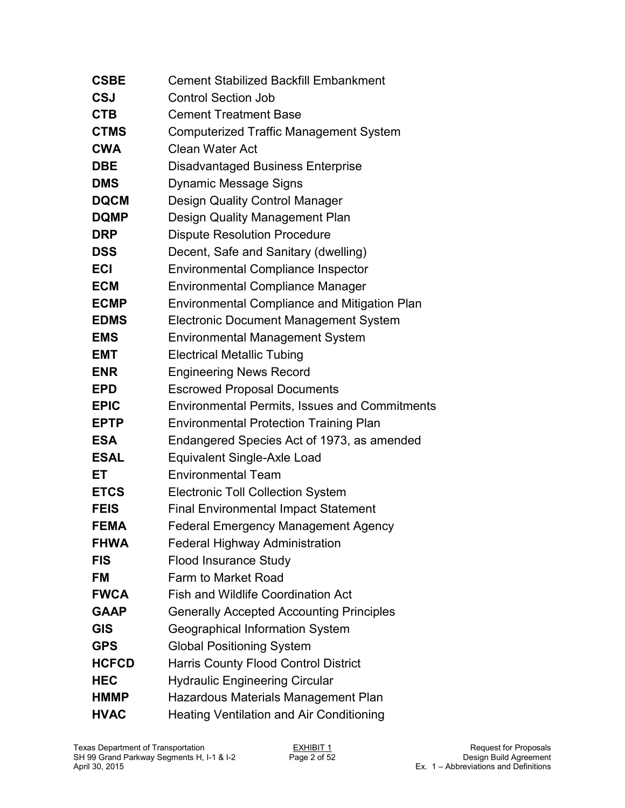| <b>CSBE</b>  | <b>Cement Stabilized Backfill Embankment</b>         |
|--------------|------------------------------------------------------|
| <b>CSJ</b>   | <b>Control Section Job</b>                           |
| <b>CTB</b>   | <b>Cement Treatment Base</b>                         |
| <b>CTMS</b>  | <b>Computerized Traffic Management System</b>        |
| <b>CWA</b>   | Clean Water Act                                      |
| <b>DBE</b>   | <b>Disadvantaged Business Enterprise</b>             |
| <b>DMS</b>   | <b>Dynamic Message Signs</b>                         |
| <b>DQCM</b>  | <b>Design Quality Control Manager</b>                |
| <b>DQMP</b>  | Design Quality Management Plan                       |
| <b>DRP</b>   | <b>Dispute Resolution Procedure</b>                  |
| <b>DSS</b>   | Decent, Safe and Sanitary (dwelling)                 |
| <b>ECI</b>   | <b>Environmental Compliance Inspector</b>            |
| <b>ECM</b>   | <b>Environmental Compliance Manager</b>              |
| <b>ECMP</b>  | <b>Environmental Compliance and Mitigation Plan</b>  |
| <b>EDMS</b>  | <b>Electronic Document Management System</b>         |
| <b>EMS</b>   | <b>Environmental Management System</b>               |
| <b>EMT</b>   | <b>Electrical Metallic Tubing</b>                    |
| <b>ENR</b>   | <b>Engineering News Record</b>                       |
| <b>EPD</b>   | <b>Escrowed Proposal Documents</b>                   |
| <b>EPIC</b>  | <b>Environmental Permits, Issues and Commitments</b> |
| <b>EPTP</b>  | <b>Environmental Protection Training Plan</b>        |
| <b>ESA</b>   | Endangered Species Act of 1973, as amended           |
| <b>ESAL</b>  | Equivalent Single-Axle Load                          |
| ET           | <b>Environmental Team</b>                            |
| <b>ETCS</b>  | <b>Electronic Toll Collection System</b>             |
| <b>FEIS</b>  | <b>Final Environmental Impact Statement</b>          |
| <b>FEMA</b>  | <b>Federal Emergency Management Agency</b>           |
| <b>FHWA</b>  | <b>Federal Highway Administration</b>                |
| <b>FIS</b>   | <b>Flood Insurance Study</b>                         |
| <b>FM</b>    | Farm to Market Road                                  |
| <b>FWCA</b>  | <b>Fish and Wildlife Coordination Act</b>            |
| <b>GAAP</b>  | <b>Generally Accepted Accounting Principles</b>      |
| <b>GIS</b>   | Geographical Information System                      |
| <b>GPS</b>   | <b>Global Positioning System</b>                     |
| <b>HCFCD</b> | <b>Harris County Flood Control District</b>          |
| <b>HEC</b>   | <b>Hydraulic Engineering Circular</b>                |
| <b>HMMP</b>  | Hazardous Materials Management Plan                  |
| <b>HVAC</b>  | <b>Heating Ventilation and Air Conditioning</b>      |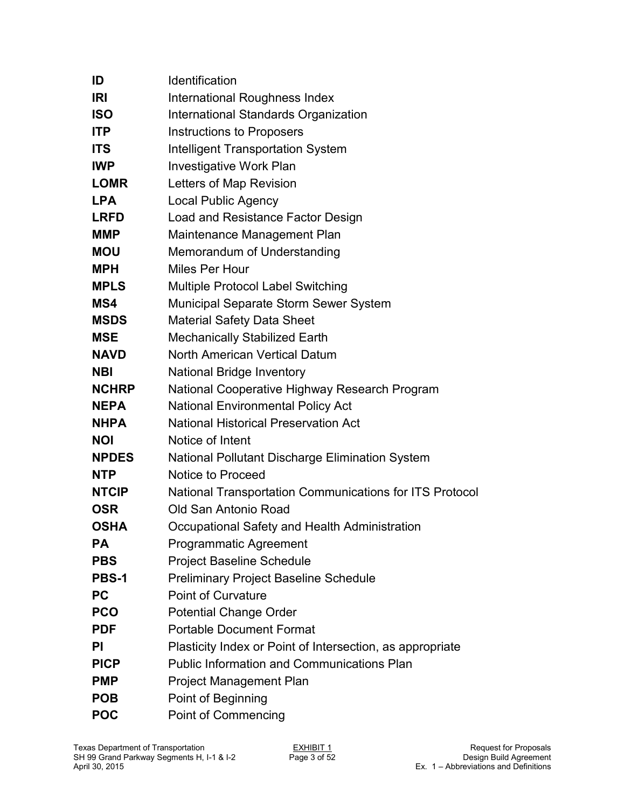| ID           | Identification                                            |
|--------------|-----------------------------------------------------------|
| <b>IRI</b>   | International Roughness Index                             |
| <b>ISO</b>   | <b>International Standards Organization</b>               |
| <b>ITP</b>   | <b>Instructions to Proposers</b>                          |
| <b>ITS</b>   | <b>Intelligent Transportation System</b>                  |
| <b>IWP</b>   | <b>Investigative Work Plan</b>                            |
| <b>LOMR</b>  | Letters of Map Revision                                   |
| <b>LPA</b>   | <b>Local Public Agency</b>                                |
| <b>LRFD</b>  | Load and Resistance Factor Design                         |
| <b>MMP</b>   | Maintenance Management Plan                               |
| <b>MOU</b>   | Memorandum of Understanding                               |
| <b>MPH</b>   | Miles Per Hour                                            |
| <b>MPLS</b>  | <b>Multiple Protocol Label Switching</b>                  |
| MS4          | Municipal Separate Storm Sewer System                     |
| <b>MSDS</b>  | <b>Material Safety Data Sheet</b>                         |
| <b>MSE</b>   | <b>Mechanically Stabilized Earth</b>                      |
| <b>NAVD</b>  | <b>North American Vertical Datum</b>                      |
| <b>NBI</b>   | <b>National Bridge Inventory</b>                          |
| <b>NCHRP</b> | National Cooperative Highway Research Program             |
| <b>NEPA</b>  | <b>National Environmental Policy Act</b>                  |
| <b>NHPA</b>  | <b>National Historical Preservation Act</b>               |
| <b>NOI</b>   | Notice of Intent                                          |
| <b>NPDES</b> | National Pollutant Discharge Elimination System           |
| <b>NTP</b>   | Notice to Proceed                                         |
| <b>NTCIP</b> | National Transportation Communications for ITS Protocol   |
| <b>OSR</b>   | Old San Antonio Road                                      |
| <b>OSHA</b>  | Occupational Safety and Health Administration             |
| <b>PA</b>    | <b>Programmatic Agreement</b>                             |
| <b>PBS</b>   | <b>Project Baseline Schedule</b>                          |
| <b>PBS-1</b> | <b>Preliminary Project Baseline Schedule</b>              |
| <b>PC</b>    | <b>Point of Curvature</b>                                 |
| <b>PCO</b>   | <b>Potential Change Order</b>                             |
| <b>PDF</b>   | <b>Portable Document Format</b>                           |
| PI           | Plasticity Index or Point of Intersection, as appropriate |
| <b>PICP</b>  | <b>Public Information and Communications Plan</b>         |
| <b>PMP</b>   | Project Management Plan                                   |
| <b>POB</b>   | Point of Beginning                                        |
| <b>POC</b>   | <b>Point of Commencing</b>                                |
|              |                                                           |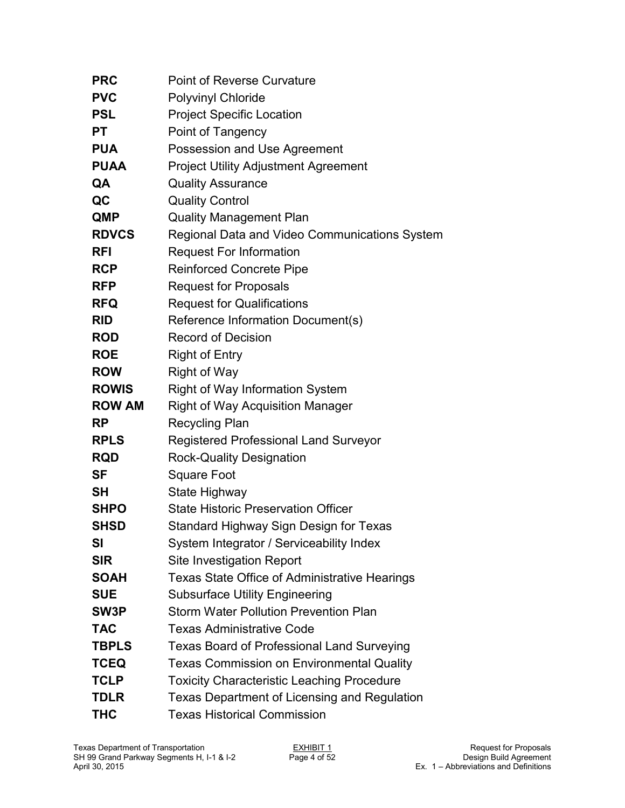| <b>PRC</b>    | <b>Point of Reverse Curvature</b>                    |
|---------------|------------------------------------------------------|
| <b>PVC</b>    | <b>Polyvinyl Chloride</b>                            |
| <b>PSL</b>    | <b>Project Specific Location</b>                     |
| <b>PT</b>     | Point of Tangency                                    |
| <b>PUA</b>    | Possession and Use Agreement                         |
| <b>PUAA</b>   | <b>Project Utility Adjustment Agreement</b>          |
| QA            | <b>Quality Assurance</b>                             |
| QC            | <b>Quality Control</b>                               |
| <b>QMP</b>    | <b>Quality Management Plan</b>                       |
| <b>RDVCS</b>  | Regional Data and Video Communications System        |
| <b>RFI</b>    | <b>Request For Information</b>                       |
| <b>RCP</b>    | <b>Reinforced Concrete Pipe</b>                      |
| <b>RFP</b>    | <b>Request for Proposals</b>                         |
| <b>RFQ</b>    | <b>Request for Qualifications</b>                    |
| <b>RID</b>    | Reference Information Document(s)                    |
| <b>ROD</b>    | <b>Record of Decision</b>                            |
| <b>ROE</b>    | <b>Right of Entry</b>                                |
| <b>ROW</b>    | <b>Right of Way</b>                                  |
| <b>ROWIS</b>  | <b>Right of Way Information System</b>               |
| <b>ROW AM</b> | <b>Right of Way Acquisition Manager</b>              |
| <b>RP</b>     | <b>Recycling Plan</b>                                |
| <b>RPLS</b>   | <b>Registered Professional Land Surveyor</b>         |
| <b>RQD</b>    | <b>Rock-Quality Designation</b>                      |
| <b>SF</b>     | <b>Square Foot</b>                                   |
| <b>SH</b>     | State Highway                                        |
| <b>SHPO</b>   | <b>State Historic Preservation Officer</b>           |
| <b>SHSD</b>   | Standard Highway Sign Design for Texas               |
| SI            | System Integrator / Serviceability Index             |
| <b>SIR</b>    | <b>Site Investigation Report</b>                     |
| <b>SOAH</b>   | <b>Texas State Office of Administrative Hearings</b> |
| <b>SUE</b>    | <b>Subsurface Utility Engineering</b>                |
| SW3P          | <b>Storm Water Pollution Prevention Plan</b>         |
| <b>TAC</b>    | <b>Texas Administrative Code</b>                     |
| <b>TBPLS</b>  | <b>Texas Board of Professional Land Surveying</b>    |
| <b>TCEQ</b>   | <b>Texas Commission on Environmental Quality</b>     |
| <b>TCLP</b>   | <b>Toxicity Characteristic Leaching Procedure</b>    |
| <b>TDLR</b>   | Texas Department of Licensing and Regulation         |
| <b>THC</b>    | <b>Texas Historical Commission</b>                   |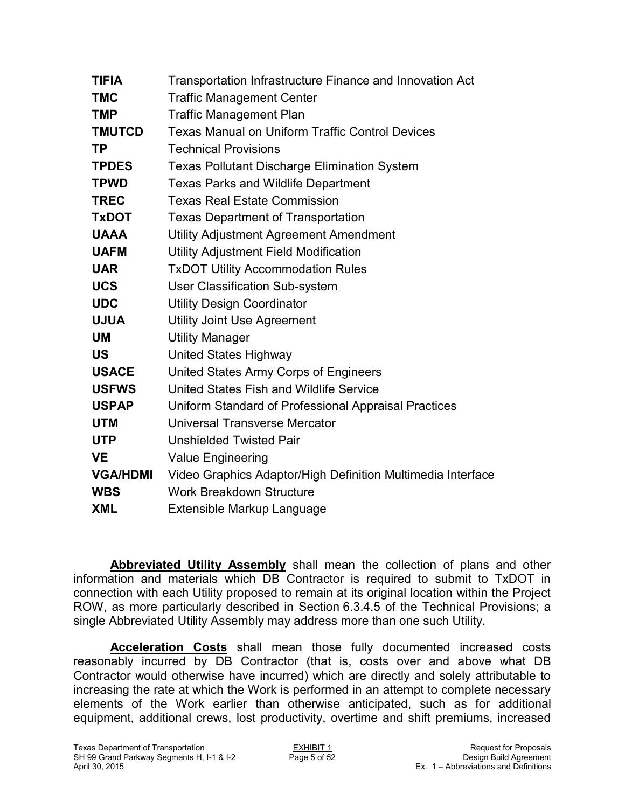| <b>TIFIA</b>    | Transportation Infrastructure Finance and Innovation Act    |
|-----------------|-------------------------------------------------------------|
| <b>TMC</b>      | <b>Traffic Management Center</b>                            |
| <b>TMP</b>      | <b>Traffic Management Plan</b>                              |
| <b>TMUTCD</b>   | <b>Texas Manual on Uniform Traffic Control Devices</b>      |
| <b>TP</b>       | <b>Technical Provisions</b>                                 |
| <b>TPDES</b>    | <b>Texas Pollutant Discharge Elimination System</b>         |
| <b>TPWD</b>     | <b>Texas Parks and Wildlife Department</b>                  |
| <b>TREC</b>     | <b>Texas Real Estate Commission</b>                         |
| <b>TxDOT</b>    | <b>Texas Department of Transportation</b>                   |
| <b>UAAA</b>     | Utility Adjustment Agreement Amendment                      |
| <b>UAFM</b>     | Utility Adjustment Field Modification                       |
| <b>UAR</b>      | <b>TxDOT Utility Accommodation Rules</b>                    |
| <b>UCS</b>      | <b>User Classification Sub-system</b>                       |
| <b>UDC</b>      | <b>Utility Design Coordinator</b>                           |
| <b>UJUA</b>     | <b>Utility Joint Use Agreement</b>                          |
| <b>UM</b>       | <b>Utility Manager</b>                                      |
| <b>US</b>       | <b>United States Highway</b>                                |
| <b>USACE</b>    | United States Army Corps of Engineers                       |
| <b>USFWS</b>    | United States Fish and Wildlife Service                     |
| <b>USPAP</b>    | Uniform Standard of Professional Appraisal Practices        |
| <b>UTM</b>      | Universal Transverse Mercator                               |
| <b>UTP</b>      | <b>Unshielded Twisted Pair</b>                              |
| <b>VE</b>       | <b>Value Engineering</b>                                    |
| <b>VGA/HDMI</b> | Video Graphics Adaptor/High Definition Multimedia Interface |
| <b>WBS</b>      | <b>Work Breakdown Structure</b>                             |
| <b>XML</b>      | <b>Extensible Markup Language</b>                           |

**Abbreviated Utility Assembly** shall mean the collection of plans and other information and materials which DB Contractor is required to submit to TxDOT in connection with each Utility proposed to remain at its original location within the Project ROW, as more particularly described in Section 6.3.4.5 of the Technical Provisions; a single Abbreviated Utility Assembly may address more than one such Utility.

**Acceleration Costs** shall mean those fully documented increased costs reasonably incurred by DB Contractor (that is, costs over and above what DB Contractor would otherwise have incurred) which are directly and solely attributable to increasing the rate at which the Work is performed in an attempt to complete necessary elements of the Work earlier than otherwise anticipated, such as for additional equipment, additional crews, lost productivity, overtime and shift premiums, increased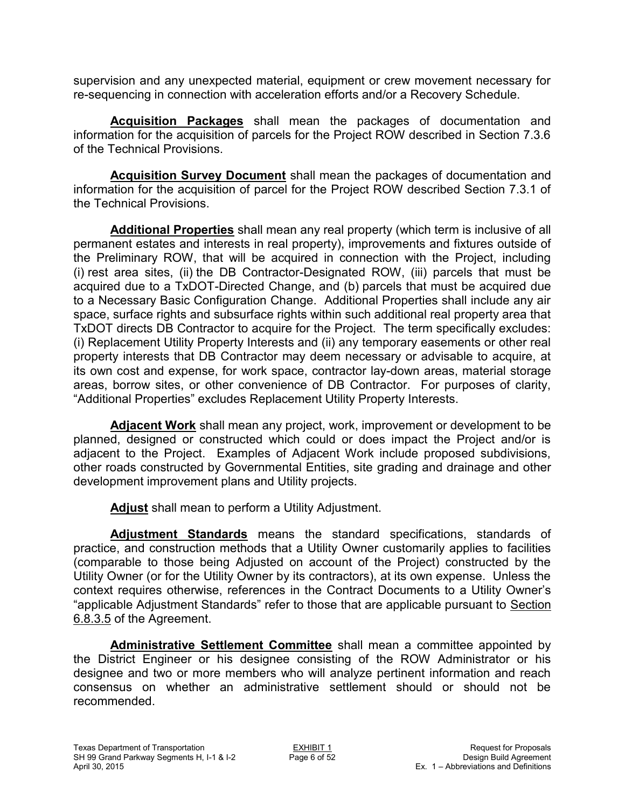supervision and any unexpected material, equipment or crew movement necessary for re-sequencing in connection with acceleration efforts and/or a Recovery Schedule.

**Acquisition Packages** shall mean the packages of documentation and information for the acquisition of parcels for the Project ROW described in Section 7.3.6 of the Technical Provisions.

**Acquisition Survey Document** shall mean the packages of documentation and information for the acquisition of parcel for the Project ROW described Section 7.3.1 of the Technical Provisions.

**Additional Properties** shall mean any real property (which term is inclusive of all permanent estates and interests in real property), improvements and fixtures outside of the Preliminary ROW, that will be acquired in connection with the Project, including (i) rest area sites, (ii) the DB Contractor-Designated ROW, (iii) parcels that must be acquired due to a TxDOT-Directed Change, and (b) parcels that must be acquired due to a Necessary Basic Configuration Change. Additional Properties shall include any air space, surface rights and subsurface rights within such additional real property area that TxDOT directs DB Contractor to acquire for the Project. The term specifically excludes: (i) Replacement Utility Property Interests and (ii) any temporary easements or other real property interests that DB Contractor may deem necessary or advisable to acquire, at its own cost and expense, for work space, contractor lay-down areas, material storage areas, borrow sites, or other convenience of DB Contractor. For purposes of clarity, "Additional Properties" excludes Replacement Utility Property Interests.

**Adjacent Work** shall mean any project, work, improvement or development to be planned, designed or constructed which could or does impact the Project and/or is adjacent to the Project. Examples of Adjacent Work include proposed subdivisions, other roads constructed by Governmental Entities, site grading and drainage and other development improvement plans and Utility projects.

**Adjust** shall mean to perform a Utility Adjustment.

**Adjustment Standards** means the standard specifications, standards of practice, and construction methods that a Utility Owner customarily applies to facilities (comparable to those being Adjusted on account of the Project) constructed by the Utility Owner (or for the Utility Owner by its contractors), at its own expense. Unless the context requires otherwise, references in the Contract Documents to a Utility Owner's "applicable Adjustment Standards" refer to those that are applicable pursuant to Section 6.8.3.5 of the Agreement.

**Administrative Settlement Committee** shall mean a committee appointed by the District Engineer or his designee consisting of the ROW Administrator or his designee and two or more members who will analyze pertinent information and reach consensus on whether an administrative settlement should or should not be recommended.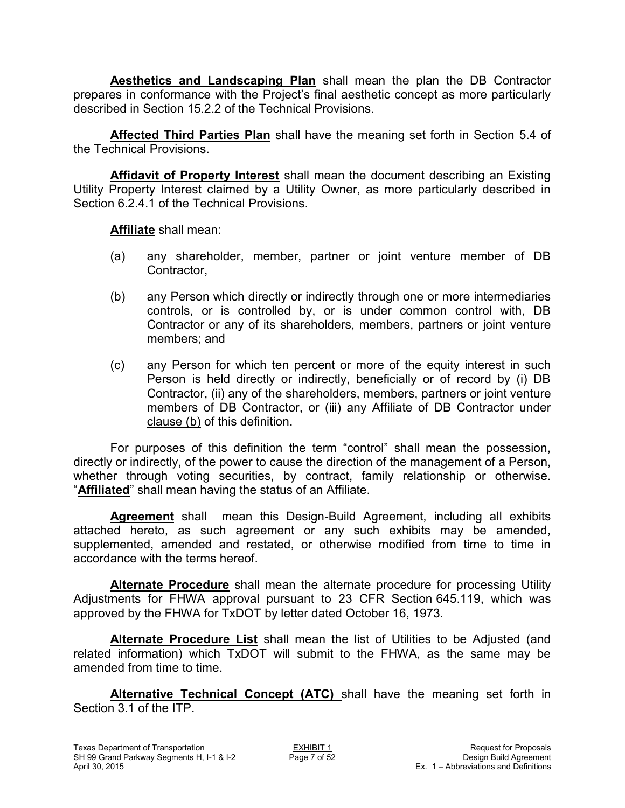**Aesthetics and Landscaping Plan** shall mean the plan the DB Contractor prepares in conformance with the Project's final aesthetic concept as more particularly described in Section 15.2.2 of the Technical Provisions.

**Affected Third Parties Plan** shall have the meaning set forth in Section 5.4 of the Technical Provisions.

**Affidavit of Property Interest** shall mean the document describing an Existing Utility Property Interest claimed by a Utility Owner, as more particularly described in Section 6.2.4.1 of the Technical Provisions.

**Affiliate** shall mean:

- (a) any shareholder, member, partner or joint venture member of DB Contractor,
- (b) any Person which directly or indirectly through one or more intermediaries controls, or is controlled by, or is under common control with, DB Contractor or any of its shareholders, members, partners or joint venture members; and
- (c) any Person for which ten percent or more of the equity interest in such Person is held directly or indirectly, beneficially or of record by (i) DB Contractor, (ii) any of the shareholders, members, partners or joint venture members of DB Contractor, or (iii) any Affiliate of DB Contractor under clause (b) of this definition.

For purposes of this definition the term "control" shall mean the possession, directly or indirectly, of the power to cause the direction of the management of a Person, whether through voting securities, by contract, family relationship or otherwise. "**Affiliated**" shall mean having the status of an Affiliate.

**Agreement** shall mean this Design-Build Agreement, including all exhibits attached hereto, as such agreement or any such exhibits may be amended, supplemented, amended and restated, or otherwise modified from time to time in accordance with the terms hereof.

**Alternate Procedure** shall mean the alternate procedure for processing Utility Adjustments for FHWA approval pursuant to 23 CFR Section 645.119, which was approved by the FHWA for TxDOT by letter dated October 16, 1973.

**Alternate Procedure List** shall mean the list of Utilities to be Adjusted (and related information) which TxDOT will submit to the FHWA, as the same may be amended from time to time.

**Alternative Technical Concept (ATC)** shall have the meaning set forth in Section 3.1 of the ITP.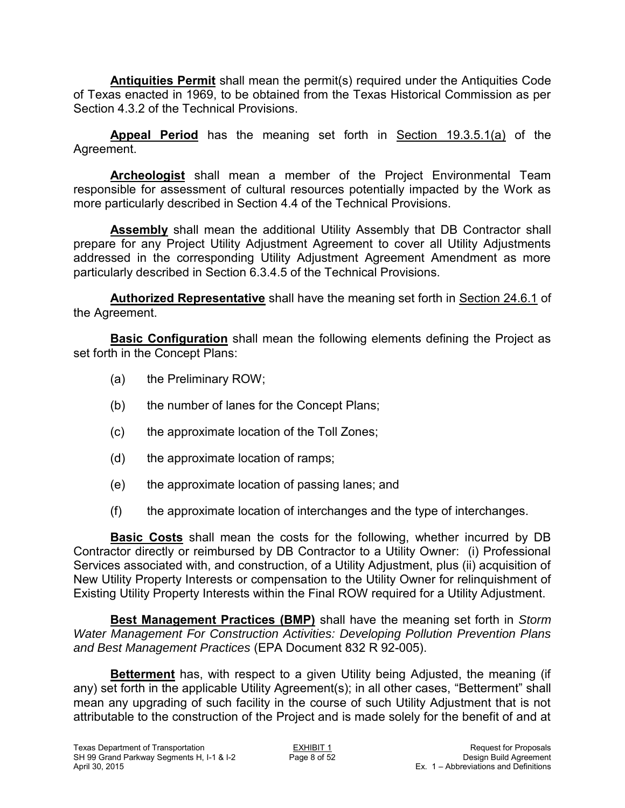**Antiquities Permit** shall mean the permit(s) required under the Antiquities Code of Texas enacted in 1969, to be obtained from the Texas Historical Commission as per Section 4.3.2 of the Technical Provisions.

**Appeal Period** has the meaning set forth in Section 19.3.5.1(a) of the Agreement.

**Archeologist** shall mean a member of the Project Environmental Team responsible for assessment of cultural resources potentially impacted by the Work as more particularly described in Section 4.4 of the Technical Provisions.

**Assembly** shall mean the additional Utility Assembly that DB Contractor shall prepare for any Project Utility Adjustment Agreement to cover all Utility Adjustments addressed in the corresponding Utility Adjustment Agreement Amendment as more particularly described in Section 6.3.4.5 of the Technical Provisions.

**Authorized Representative** shall have the meaning set forth in Section 24.6.1 of the Agreement.

**Basic Configuration** shall mean the following elements defining the Project as set forth in the Concept Plans:

- (a) the Preliminary ROW;
- (b) the number of lanes for the Concept Plans;
- (c) the approximate location of the Toll Zones;
- (d) the approximate location of ramps;
- (e) the approximate location of passing lanes; and
- (f) the approximate location of interchanges and the type of interchanges.

**Basic Costs** shall mean the costs for the following, whether incurred by DB Contractor directly or reimbursed by DB Contractor to a Utility Owner: (i) Professional Services associated with, and construction, of a Utility Adjustment, plus (ii) acquisition of New Utility Property Interests or compensation to the Utility Owner for relinquishment of Existing Utility Property Interests within the Final ROW required for a Utility Adjustment.

**Best Management Practices (BMP)** shall have the meaning set forth in *Storm Water Management For Construction Activities: Developing Pollution Prevention Plans and Best Management Practices* (EPA Document 832 R 92-005).

**Betterment** has, with respect to a given Utility being Adjusted, the meaning (if any) set forth in the applicable Utility Agreement(s); in all other cases, "Betterment" shall mean any upgrading of such facility in the course of such Utility Adjustment that is not attributable to the construction of the Project and is made solely for the benefit of and at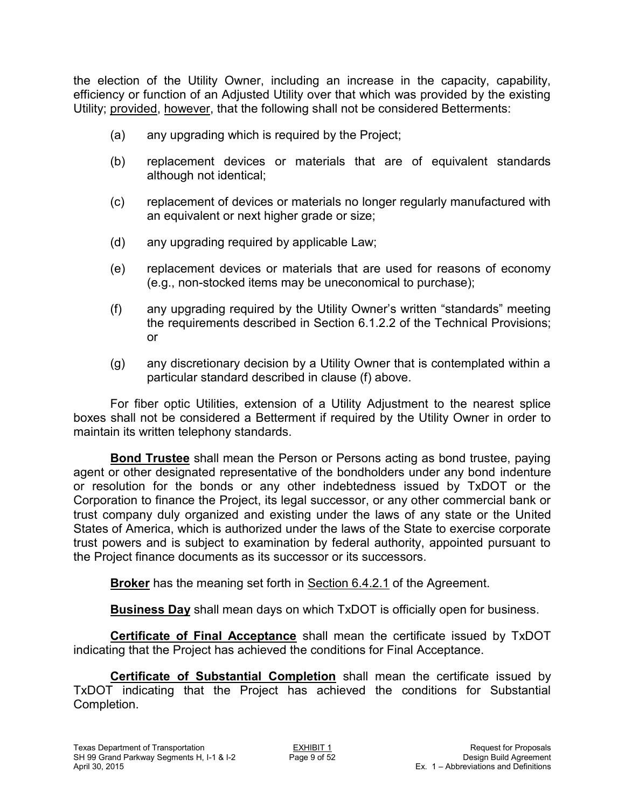the election of the Utility Owner, including an increase in the capacity, capability, efficiency or function of an Adjusted Utility over that which was provided by the existing Utility; provided, however, that the following shall not be considered Betterments:

- (a) any upgrading which is required by the Project;
- (b) replacement devices or materials that are of equivalent standards although not identical;
- (c) replacement of devices or materials no longer regularly manufactured with an equivalent or next higher grade or size;
- (d) any upgrading required by applicable Law;
- (e) replacement devices or materials that are used for reasons of economy (e.g., non-stocked items may be uneconomical to purchase);
- (f) any upgrading required by the Utility Owner's written "standards" meeting the requirements described in Section 6.1.2.2 of the Technical Provisions; or
- (g) any discretionary decision by a Utility Owner that is contemplated within a particular standard described in clause (f) above.

For fiber optic Utilities, extension of a Utility Adjustment to the nearest splice boxes shall not be considered a Betterment if required by the Utility Owner in order to maintain its written telephony standards.

**Bond Trustee** shall mean the Person or Persons acting as bond trustee, paying agent or other designated representative of the bondholders under any bond indenture or resolution for the bonds or any other indebtedness issued by TxDOT or the Corporation to finance the Project, its legal successor, or any other commercial bank or trust company duly organized and existing under the laws of any state or the United States of America, which is authorized under the laws of the State to exercise corporate trust powers and is subject to examination by federal authority, appointed pursuant to the Project finance documents as its successor or its successors.

**Broker** has the meaning set forth in **Section 6.4.2.1** of the Agreement.

**Business Day** shall mean days on which TxDOT is officially open for business.

**Certificate of Final Acceptance** shall mean the certificate issued by TxDOT indicating that the Project has achieved the conditions for Final Acceptance.

**Certificate of Substantial Completion** shall mean the certificate issued by TxDOT indicating that the Project has achieved the conditions for Substantial Completion.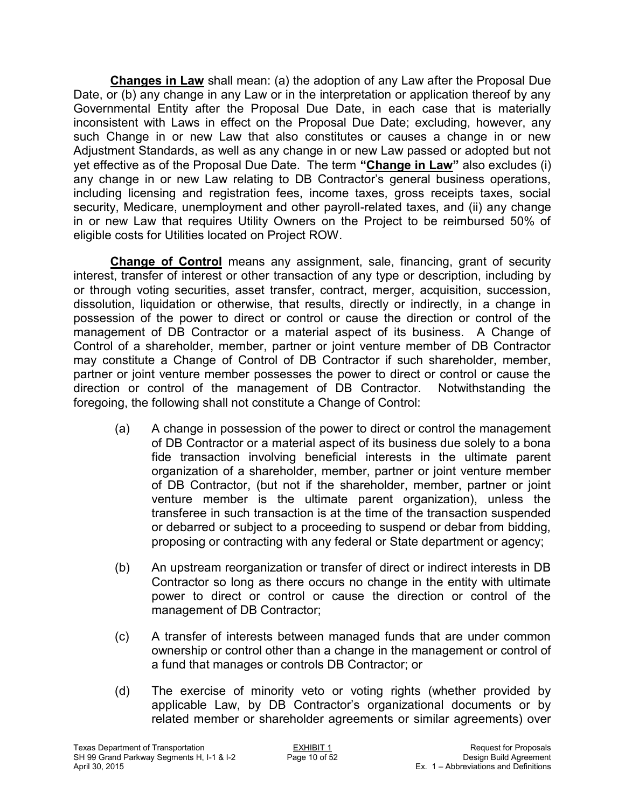**Changes in Law** shall mean: (a) the adoption of any Law after the Proposal Due Date, or (b) any change in any Law or in the interpretation or application thereof by any Governmental Entity after the Proposal Due Date, in each case that is materially inconsistent with Laws in effect on the Proposal Due Date; excluding, however, any such Change in or new Law that also constitutes or causes a change in or new Adjustment Standards, as well as any change in or new Law passed or adopted but not yet effective as of the Proposal Due Date. The term **"Change in Law"** also excludes (i) any change in or new Law relating to DB Contractor's general business operations, including licensing and registration fees, income taxes, gross receipts taxes, social security, Medicare, unemployment and other payroll-related taxes, and (ii) any change in or new Law that requires Utility Owners on the Project to be reimbursed 50% of eligible costs for Utilities located on Project ROW.

**Change of Control** means any assignment, sale, financing, grant of security interest, transfer of interest or other transaction of any type or description, including by or through voting securities, asset transfer, contract, merger, acquisition, succession, dissolution, liquidation or otherwise, that results, directly or indirectly, in a change in possession of the power to direct or control or cause the direction or control of the management of DB Contractor or a material aspect of its business. A Change of Control of a shareholder, member, partner or joint venture member of DB Contractor may constitute a Change of Control of DB Contractor if such shareholder, member, partner or joint venture member possesses the power to direct or control or cause the direction or control of the management of DB Contractor. Notwithstanding the foregoing, the following shall not constitute a Change of Control:

- (a) A change in possession of the power to direct or control the management of DB Contractor or a material aspect of its business due solely to a bona fide transaction involving beneficial interests in the ultimate parent organization of a shareholder, member, partner or joint venture member of DB Contractor, (but not if the shareholder, member, partner or joint venture member is the ultimate parent organization), unless the transferee in such transaction is at the time of the transaction suspended or debarred or subject to a proceeding to suspend or debar from bidding, proposing or contracting with any federal or State department or agency;
- (b) An upstream reorganization or transfer of direct or indirect interests in DB Contractor so long as there occurs no change in the entity with ultimate power to direct or control or cause the direction or control of the management of DB Contractor;
- (c) A transfer of interests between managed funds that are under common ownership or control other than a change in the management or control of a fund that manages or controls DB Contractor; or
- (d) The exercise of minority veto or voting rights (whether provided by applicable Law, by DB Contractor's organizational documents or by related member or shareholder agreements or similar agreements) over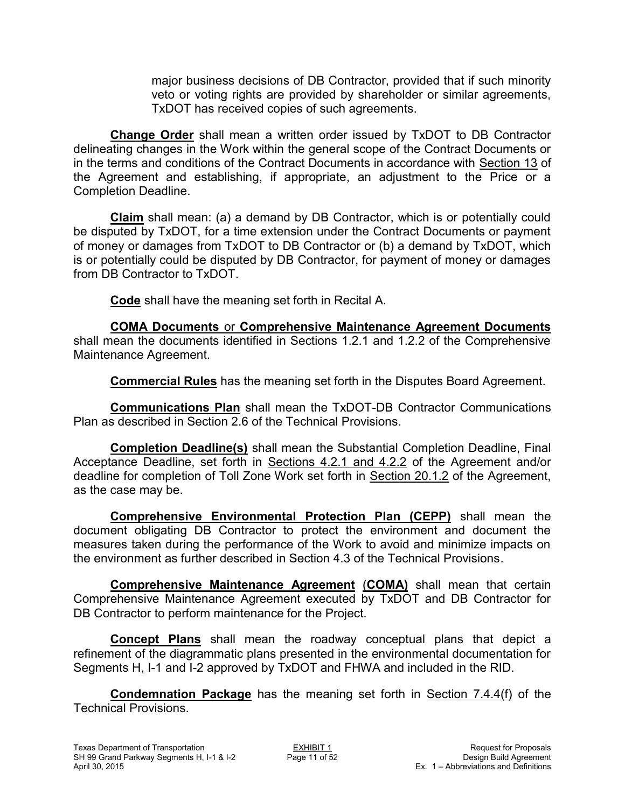major business decisions of DB Contractor, provided that if such minority veto or voting rights are provided by shareholder or similar agreements, TxDOT has received copies of such agreements.

**Change Order** shall mean a written order issued by TxDOT to DB Contractor delineating changes in the Work within the general scope of the Contract Documents or in the terms and conditions of the Contract Documents in accordance with Section 13 of the Agreement and establishing, if appropriate, an adjustment to the Price or a Completion Deadline.

**Claim** shall mean: (a) a demand by DB Contractor, which is or potentially could be disputed by TxDOT, for a time extension under the Contract Documents or payment of money or damages from TxDOT to DB Contractor or (b) a demand by TxDOT, which is or potentially could be disputed by DB Contractor, for payment of money or damages from DB Contractor to TxDOT.

**Code** shall have the meaning set forth in Recital A.

**COMA Documents** or **Comprehensive Maintenance Agreement Documents** shall mean the documents identified in Sections 1.2.1 and 1.2.2 of the Comprehensive Maintenance Agreement.

**Commercial Rules** has the meaning set forth in the Disputes Board Agreement.

**Communications Plan** shall mean the TxDOT-DB Contractor Communications Plan as described in Section 2.6 of the Technical Provisions.

**Completion Deadline(s)** shall mean the Substantial Completion Deadline, Final Acceptance Deadline, set forth in Sections 4.2.1 and 4.2.2 of the Agreement and/or deadline for completion of Toll Zone Work set forth in Section 20.1.2 of the Agreement, as the case may be.

**Comprehensive Environmental Protection Plan (CEPP)** shall mean the document obligating DB Contractor to protect the environment and document the measures taken during the performance of the Work to avoid and minimize impacts on the environment as further described in Section 4.3 of the Technical Provisions.

**Comprehensive Maintenance Agreement** (**COMA)** shall mean that certain Comprehensive Maintenance Agreement executed by TxDOT and DB Contractor for DB Contractor to perform maintenance for the Project.

**Concept Plans** shall mean the roadway conceptual plans that depict a refinement of the diagrammatic plans presented in the environmental documentation for Segments H, I-1 and I-2 approved by TxDOT and FHWA and included in the RID.

**Condemnation Package** has the meaning set forth in Section 7.4.4(f) of the Technical Provisions.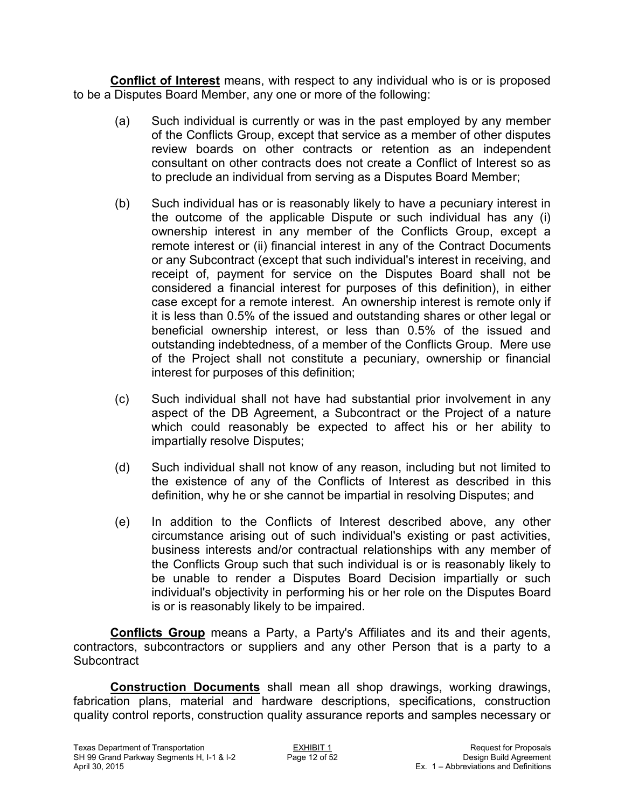**Conflict of Interest** means, with respect to any individual who is or is proposed to be a Disputes Board Member, any one or more of the following:

- (a) Such individual is currently or was in the past employed by any member of the Conflicts Group, except that service as a member of other disputes review boards on other contracts or retention as an independent consultant on other contracts does not create a Conflict of Interest so as to preclude an individual from serving as a Disputes Board Member;
- (b) Such individual has or is reasonably likely to have a pecuniary interest in the outcome of the applicable Dispute or such individual has any (i) ownership interest in any member of the Conflicts Group, except a remote interest or (ii) financial interest in any of the Contract Documents or any Subcontract (except that such individual's interest in receiving, and receipt of, payment for service on the Disputes Board shall not be considered a financial interest for purposes of this definition), in either case except for a remote interest. An ownership interest is remote only if it is less than 0.5% of the issued and outstanding shares or other legal or beneficial ownership interest, or less than 0.5% of the issued and outstanding indebtedness, of a member of the Conflicts Group. Mere use of the Project shall not constitute a pecuniary, ownership or financial interest for purposes of this definition;
- (c) Such individual shall not have had substantial prior involvement in any aspect of the DB Agreement, a Subcontract or the Project of a nature which could reasonably be expected to affect his or her ability to impartially resolve Disputes;
- (d) Such individual shall not know of any reason, including but not limited to the existence of any of the Conflicts of Interest as described in this definition, why he or she cannot be impartial in resolving Disputes; and
- (e) In addition to the Conflicts of Interest described above, any other circumstance arising out of such individual's existing or past activities, business interests and/or contractual relationships with any member of the Conflicts Group such that such individual is or is reasonably likely to be unable to render a Disputes Board Decision impartially or such individual's objectivity in performing his or her role on the Disputes Board is or is reasonably likely to be impaired.

**Conflicts Group** means a Party, a Party's Affiliates and its and their agents, contractors, subcontractors or suppliers and any other Person that is a party to a **Subcontract** 

**Construction Documents** shall mean all shop drawings, working drawings, fabrication plans, material and hardware descriptions, specifications, construction quality control reports, construction quality assurance reports and samples necessary or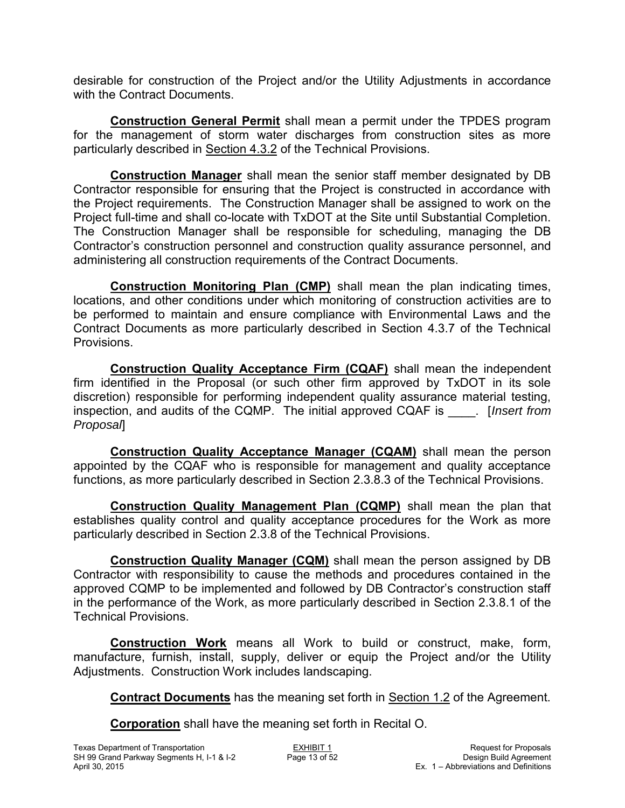desirable for construction of the Project and/or the Utility Adjustments in accordance with the Contract Documents.

**Construction General Permit** shall mean a permit under the TPDES program for the management of storm water discharges from construction sites as more particularly described in Section 4.3.2 of the Technical Provisions.

**Construction Manager** shall mean the senior staff member designated by DB Contractor responsible for ensuring that the Project is constructed in accordance with the Project requirements. The Construction Manager shall be assigned to work on the Project full-time and shall co-locate with TxDOT at the Site until Substantial Completion. The Construction Manager shall be responsible for scheduling, managing the DB Contractor's construction personnel and construction quality assurance personnel, and administering all construction requirements of the Contract Documents.

**Construction Monitoring Plan (CMP)** shall mean the plan indicating times, locations, and other conditions under which monitoring of construction activities are to be performed to maintain and ensure compliance with Environmental Laws and the Contract Documents as more particularly described in Section 4.3.7 of the Technical Provisions.

**Construction Quality Acceptance Firm (CQAF)** shall mean the independent firm identified in the Proposal (or such other firm approved by TxDOT in its sole discretion) responsible for performing independent quality assurance material testing, inspection, and audits of the CQMP. The initial approved CQAF is \_\_\_\_. [*Insert from Proposal*]

**Construction Quality Acceptance Manager (CQAM)** shall mean the person appointed by the CQAF who is responsible for management and quality acceptance functions, as more particularly described in Section 2.3.8.3 of the Technical Provisions.

**Construction Quality Management Plan (CQMP)** shall mean the plan that establishes quality control and quality acceptance procedures for the Work as more particularly described in Section 2.3.8 of the Technical Provisions.

**Construction Quality Manager (CQM)** shall mean the person assigned by DB Contractor with responsibility to cause the methods and procedures contained in the approved CQMP to be implemented and followed by DB Contractor's construction staff in the performance of the Work, as more particularly described in Section 2.3.8.1 of the Technical Provisions.

**Construction Work** means all Work to build or construct, make, form, manufacture, furnish, install, supply, deliver or equip the Project and/or the Utility Adjustments. Construction Work includes landscaping.

**Contract Documents** has the meaning set forth in Section 1.2 of the Agreement.

**Corporation** shall have the meaning set forth in Recital O.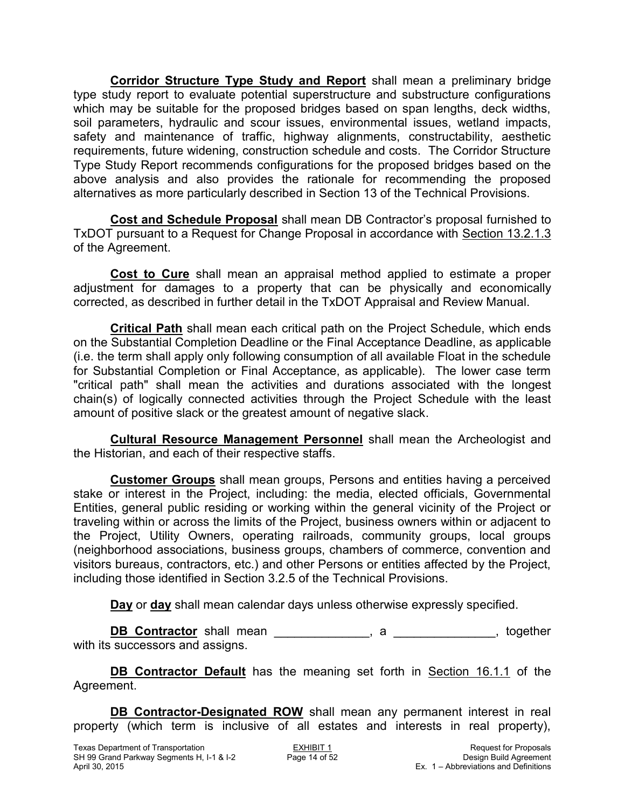**Corridor Structure Type Study and Report** shall mean a preliminary bridge type study report to evaluate potential superstructure and substructure configurations which may be suitable for the proposed bridges based on span lengths, deck widths, soil parameters, hydraulic and scour issues, environmental issues, wetland impacts, safety and maintenance of traffic, highway alignments, constructability, aesthetic requirements, future widening, construction schedule and costs. The Corridor Structure Type Study Report recommends configurations for the proposed bridges based on the above analysis and also provides the rationale for recommending the proposed alternatives as more particularly described in Section 13 of the Technical Provisions.

**Cost and Schedule Proposal** shall mean DB Contractor's proposal furnished to TxDOT pursuant to a Request for Change Proposal in accordance with Section 13.2.1.3 of the Agreement.

**Cost to Cure** shall mean an appraisal method applied to estimate a proper adjustment for damages to a property that can be physically and economically corrected, as described in further detail in the TxDOT Appraisal and Review Manual.

**Critical Path** shall mean each critical path on the Project Schedule, which ends on the Substantial Completion Deadline or the Final Acceptance Deadline, as applicable (i.e. the term shall apply only following consumption of all available Float in the schedule for Substantial Completion or Final Acceptance, as applicable). The lower case term "critical path" shall mean the activities and durations associated with the longest chain(s) of logically connected activities through the Project Schedule with the least amount of positive slack or the greatest amount of negative slack.

**Cultural Resource Management Personnel** shall mean the Archeologist and the Historian, and each of their respective staffs.

**Customer Groups** shall mean groups, Persons and entities having a perceived stake or interest in the Project, including: the media, elected officials, Governmental Entities, general public residing or working within the general vicinity of the Project or traveling within or across the limits of the Project, business owners within or adjacent to the Project, Utility Owners, operating railroads, community groups, local groups (neighborhood associations, business groups, chambers of commerce, convention and visitors bureaus, contractors, etc.) and other Persons or entities affected by the Project, including those identified in Section 3.2.5 of the Technical Provisions.

**Day** or **day** shall mean calendar days unless otherwise expressly specified.

**DB Contractor** shall mean \_\_\_\_\_\_\_\_\_\_\_\_\_\_, a \_\_\_\_\_\_\_\_\_\_\_\_\_\_, together with its successors and assigns.

**DB Contractor Default** has the meaning set forth in Section 16.1.1 of the Agreement.

**DB Contractor-Designated ROW** shall mean any permanent interest in real property (which term is inclusive of all estates and interests in real property),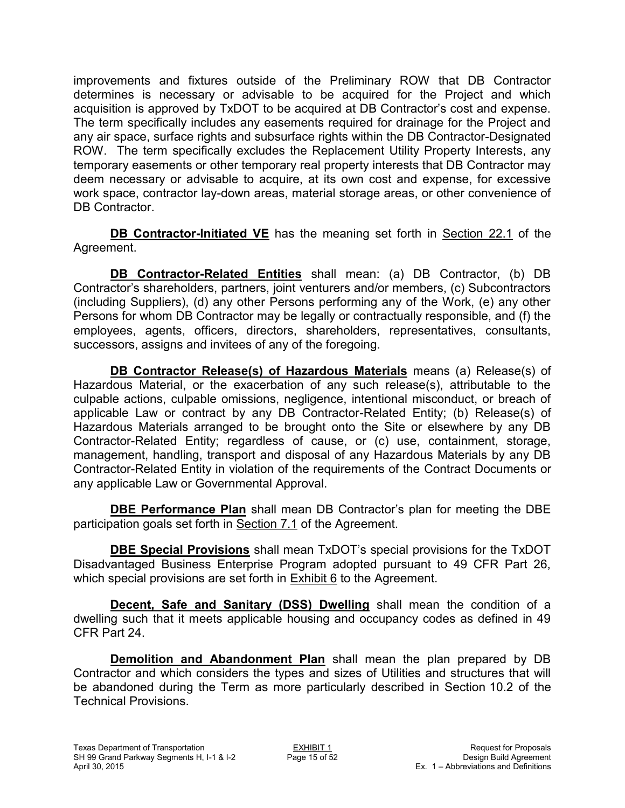improvements and fixtures outside of the Preliminary ROW that DB Contractor determines is necessary or advisable to be acquired for the Project and which acquisition is approved by TxDOT to be acquired at DB Contractor's cost and expense. The term specifically includes any easements required for drainage for the Project and any air space, surface rights and subsurface rights within the DB Contractor-Designated ROW. The term specifically excludes the Replacement Utility Property Interests, any temporary easements or other temporary real property interests that DB Contractor may deem necessary or advisable to acquire, at its own cost and expense, for excessive work space, contractor lay-down areas, material storage areas, or other convenience of DB Contractor.

**DB Contractor-Initiated VE** has the meaning set forth in Section 22.1 of the Agreement.

**DB Contractor-Related Entities** shall mean: (a) DB Contractor, (b) DB Contractor's shareholders, partners, joint venturers and/or members, (c) Subcontractors (including Suppliers), (d) any other Persons performing any of the Work, (e) any other Persons for whom DB Contractor may be legally or contractually responsible, and (f) the employees, agents, officers, directors, shareholders, representatives, consultants, successors, assigns and invitees of any of the foregoing.

**DB Contractor Release(s) of Hazardous Materials** means (a) Release(s) of Hazardous Material, or the exacerbation of any such release(s), attributable to the culpable actions, culpable omissions, negligence, intentional misconduct, or breach of applicable Law or contract by any DB Contractor-Related Entity; (b) Release(s) of Hazardous Materials arranged to be brought onto the Site or elsewhere by any DB Contractor-Related Entity; regardless of cause, or (c) use, containment, storage, management, handling, transport and disposal of any Hazardous Materials by any DB Contractor-Related Entity in violation of the requirements of the Contract Documents or any applicable Law or Governmental Approval.

**DBE Performance Plan** shall mean DB Contractor's plan for meeting the DBE participation goals set forth in Section 7.1 of the Agreement.

**DBE Special Provisions** shall mean TxDOT's special provisions for the TxDOT Disadvantaged Business Enterprise Program adopted pursuant to 49 CFR Part 26, which special provisions are set forth in Exhibit 6 to the Agreement.

**Decent, Safe and Sanitary (DSS) Dwelling** shall mean the condition of a dwelling such that it meets applicable housing and occupancy codes as defined in 49 CFR Part 24.

**Demolition and Abandonment Plan** shall mean the plan prepared by DB Contractor and which considers the types and sizes of Utilities and structures that will be abandoned during the Term as more particularly described in Section 10.2 of the Technical Provisions.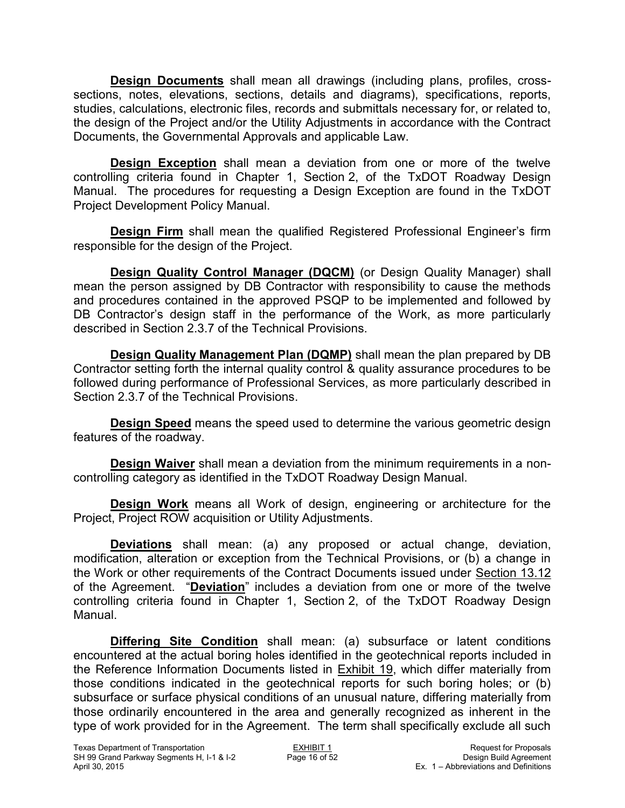**Design Documents** shall mean all drawings (including plans, profiles, crosssections, notes, elevations, sections, details and diagrams), specifications, reports, studies, calculations, electronic files, records and submittals necessary for, or related to, the design of the Project and/or the Utility Adjustments in accordance with the Contract Documents, the Governmental Approvals and applicable Law.

**Design Exception** shall mean a deviation from one or more of the twelve controlling criteria found in Chapter 1, Section 2, of the TxDOT Roadway Design Manual. The procedures for requesting a Design Exception are found in the TxDOT Project Development Policy Manual.

**Design Firm** shall mean the qualified Registered Professional Engineer's firm responsible for the design of the Project.

**Design Quality Control Manager (DQCM)** (or Design Quality Manager) shall mean the person assigned by DB Contractor with responsibility to cause the methods and procedures contained in the approved PSQP to be implemented and followed by DB Contractor's design staff in the performance of the Work, as more particularly described in Section 2.3.7 of the Technical Provisions.

**Design Quality Management Plan (DQMP)** shall mean the plan prepared by DB Contractor setting forth the internal quality control & quality assurance procedures to be followed during performance of Professional Services, as more particularly described in Section 2.3.7 of the Technical Provisions.

**Design Speed** means the speed used to determine the various geometric design features of the roadway.

**Design Waiver** shall mean a deviation from the minimum requirements in a noncontrolling category as identified in the TxDOT Roadway Design Manual.

**Design Work** means all Work of design, engineering or architecture for the Project, Project ROW acquisition or Utility Adjustments.

**Deviations** shall mean: (a) any proposed or actual change, deviation, modification, alteration or exception from the Technical Provisions, or (b) a change in the Work or other requirements of the Contract Documents issued under Section 13.12 of the Agreement. "**Deviation**" includes a deviation from one or more of the twelve controlling criteria found in Chapter 1, Section 2, of the TxDOT Roadway Design Manual.

**Differing Site Condition** shall mean: (a) subsurface or latent conditions encountered at the actual boring holes identified in the geotechnical reports included in the Reference Information Documents listed in Exhibit 19, which differ materially from those conditions indicated in the geotechnical reports for such boring holes; or (b) subsurface or surface physical conditions of an unusual nature, differing materially from those ordinarily encountered in the area and generally recognized as inherent in the type of work provided for in the Agreement. The term shall specifically exclude all such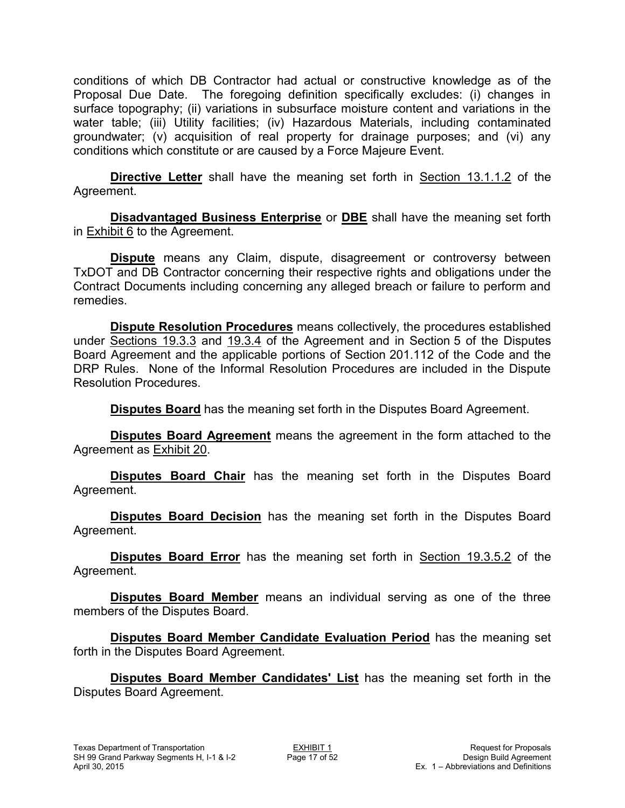conditions of which DB Contractor had actual or constructive knowledge as of the Proposal Due Date. The foregoing definition specifically excludes: (i) changes in surface topography; (ii) variations in subsurface moisture content and variations in the water table; (iii) Utility facilities; (iv) Hazardous Materials, including contaminated groundwater; (v) acquisition of real property for drainage purposes; and (vi) any conditions which constitute or are caused by a Force Majeure Event.

**Directive Letter** shall have the meaning set forth in Section 13.1.1.2 of the Agreement.

**Disadvantaged Business Enterprise** or **DBE** shall have the meaning set forth in Exhibit 6 to the Agreement.

**Dispute** means any Claim, dispute, disagreement or controversy between TxDOT and DB Contractor concerning their respective rights and obligations under the Contract Documents including concerning any alleged breach or failure to perform and remedies.

**Dispute Resolution Procedures** means collectively, the procedures established under Sections 19.3.3 and 19.3.4 of the Agreement and in Section 5 of the Disputes Board Agreement and the applicable portions of Section 201.112 of the Code and the DRP Rules. None of the Informal Resolution Procedures are included in the Dispute Resolution Procedures.

**Disputes Board** has the meaning set forth in the Disputes Board Agreement.

**Disputes Board Agreement** means the agreement in the form attached to the Agreement as Exhibit 20.

**Disputes Board Chair** has the meaning set forth in the Disputes Board Agreement.

**Disputes Board Decision** has the meaning set forth in the Disputes Board Agreement.

**Disputes Board Error** has the meaning set forth in Section 19.3.5.2 of the Agreement.

**Disputes Board Member** means an individual serving as one of the three members of the Disputes Board.

**Disputes Board Member Candidate Evaluation Period** has the meaning set forth in the Disputes Board Agreement.

**Disputes Board Member Candidates' List** has the meaning set forth in the Disputes Board Agreement.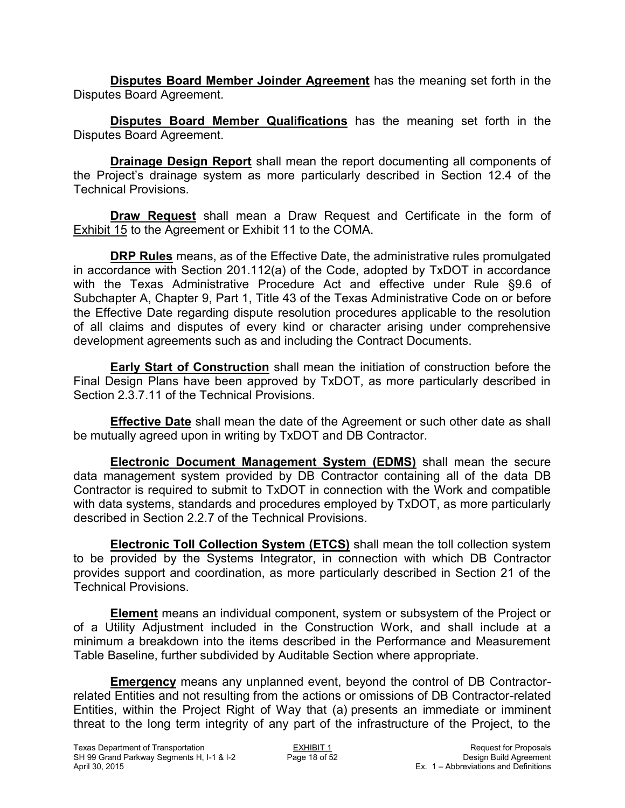**Disputes Board Member Joinder Agreement** has the meaning set forth in the Disputes Board Agreement.

**Disputes Board Member Qualifications** has the meaning set forth in the Disputes Board Agreement.

**Drainage Design Report** shall mean the report documenting all components of the Project's drainage system as more particularly described in Section 12.4 of the Technical Provisions.

**Draw Request** shall mean a Draw Request and Certificate in the form of Exhibit 15 to the Agreement or Exhibit 11 to the COMA.

**DRP Rules** means, as of the Effective Date, the administrative rules promulgated in accordance with Section 201.112(a) of the Code, adopted by TxDOT in accordance with the Texas Administrative Procedure Act and effective under Rule §9.6 of Subchapter A, Chapter 9, Part 1, Title 43 of the Texas Administrative Code on or before the Effective Date regarding dispute resolution procedures applicable to the resolution of all claims and disputes of every kind or character arising under comprehensive development agreements such as and including the Contract Documents.

**Early Start of Construction** shall mean the initiation of construction before the Final Design Plans have been approved by TxDOT, as more particularly described in Section 2.3.7.11 of the Technical Provisions.

**Effective Date** shall mean the date of the Agreement or such other date as shall be mutually agreed upon in writing by TxDOT and DB Contractor.

**Electronic Document Management System (EDMS)** shall mean the secure data management system provided by DB Contractor containing all of the data DB Contractor is required to submit to TxDOT in connection with the Work and compatible with data systems, standards and procedures employed by TxDOT, as more particularly described in Section 2.2.7 of the Technical Provisions.

**Electronic Toll Collection System (ETCS)** shall mean the toll collection system to be provided by the Systems Integrator, in connection with which DB Contractor provides support and coordination, as more particularly described in Section 21 of the Technical Provisions.

**Element** means an individual component, system or subsystem of the Project or of a Utility Adjustment included in the Construction Work, and shall include at a minimum a breakdown into the items described in the Performance and Measurement Table Baseline, further subdivided by Auditable Section where appropriate.

**Emergency** means any unplanned event, beyond the control of DB Contractorrelated Entities and not resulting from the actions or omissions of DB Contractor-related Entities, within the Project Right of Way that (a) presents an immediate or imminent threat to the long term integrity of any part of the infrastructure of the Project, to the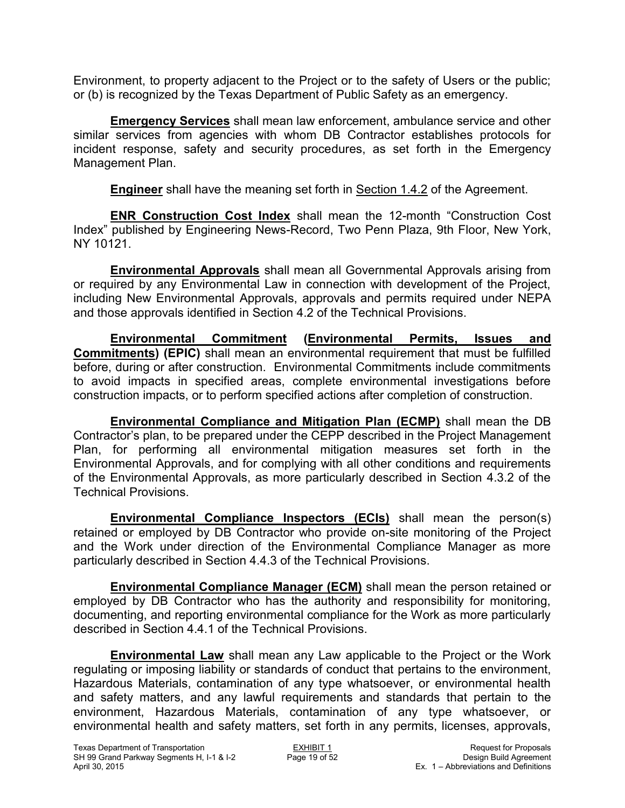Environment, to property adjacent to the Project or to the safety of Users or the public; or (b) is recognized by the Texas Department of Public Safety as an emergency.

**Emergency Services** shall mean law enforcement, ambulance service and other similar services from agencies with whom DB Contractor establishes protocols for incident response, safety and security procedures, as set forth in the Emergency Management Plan.

**Engineer** shall have the meaning set forth in Section 1.4.2 of the Agreement.

**ENR Construction Cost Index** shall mean the 12-month "Construction Cost Index" published by Engineering News-Record, Two Penn Plaza, 9th Floor, New York, NY 10121.

**Environmental Approvals** shall mean all Governmental Approvals arising from or required by any Environmental Law in connection with development of the Project, including New Environmental Approvals, approvals and permits required under NEPA and those approvals identified in Section 4.2 of the Technical Provisions.

**Environmental Commitment (Environmental Permits, Issues and Commitments) (EPIC)** shall mean an environmental requirement that must be fulfilled before, during or after construction. Environmental Commitments include commitments to avoid impacts in specified areas, complete environmental investigations before construction impacts, or to perform specified actions after completion of construction.

**Environmental Compliance and Mitigation Plan (ECMP)** shall mean the DB Contractor's plan, to be prepared under the CEPP described in the Project Management Plan, for performing all environmental mitigation measures set forth in the Environmental Approvals, and for complying with all other conditions and requirements of the Environmental Approvals, as more particularly described in Section 4.3.2 of the Technical Provisions.

**Environmental Compliance Inspectors (ECIs)** shall mean the person(s) retained or employed by DB Contractor who provide on-site monitoring of the Project and the Work under direction of the Environmental Compliance Manager as more particularly described in Section 4.4.3 of the Technical Provisions.

**Environmental Compliance Manager (ECM)** shall mean the person retained or employed by DB Contractor who has the authority and responsibility for monitoring, documenting, and reporting environmental compliance for the Work as more particularly described in Section 4.4.1 of the Technical Provisions.

**Environmental Law** shall mean any Law applicable to the Project or the Work regulating or imposing liability or standards of conduct that pertains to the environment, Hazardous Materials, contamination of any type whatsoever, or environmental health and safety matters, and any lawful requirements and standards that pertain to the environment, Hazardous Materials, contamination of any type whatsoever, or environmental health and safety matters, set forth in any permits, licenses, approvals,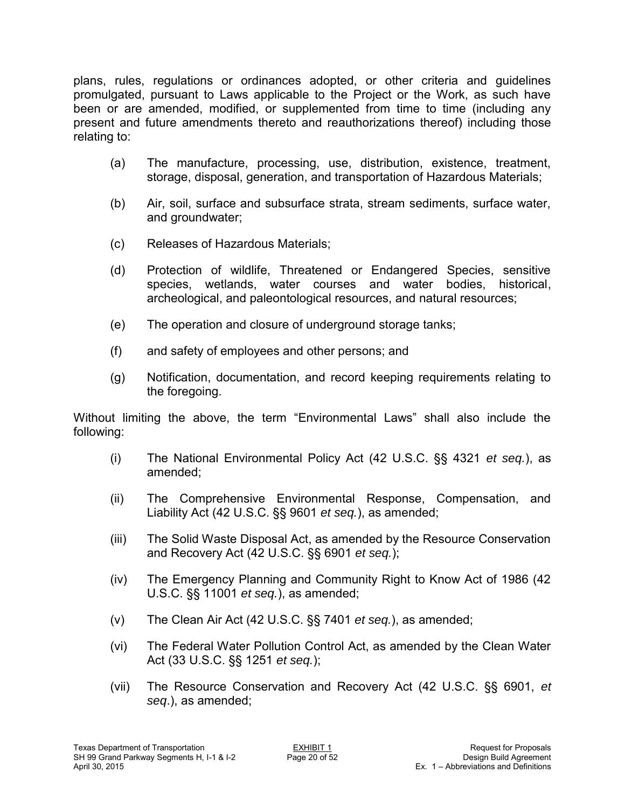plans, rules, regulations or ordinances adopted, or other criteria and guidelines promulgated, pursuant to Laws applicable to the Project or the Work, as such have been or are amended, modified, or supplemented from time to time (including any present and future amendments thereto and reauthorizations thereof) including those relating to:

- (a) The manufacture, processing, use, distribution, existence, treatment, storage, disposal, generation, and transportation of Hazardous Materials;
- (b) Air, soil, surface and subsurface strata, stream sediments, surface water, and groundwater;
- (c) Releases of Hazardous Materials;
- (d) Protection of wildlife, Threatened or Endangered Species, sensitive species, wetlands, water courses and water bodies, historical, archeological, and paleontological resources, and natural resources;
- (e) The operation and closure of underground storage tanks;
- (f) and safety of employees and other persons; and
- (g) Notification, documentation, and record keeping requirements relating to the foregoing.

Without limiting the above, the term "Environmental Laws" shall also include the following:

- (i) The National Environmental Policy Act (42 U.S.C. §§ 4321 *et seq.*), as amended;
- (ii) The Comprehensive Environmental Response, Compensation, and Liability Act (42 U.S.C. §§ 9601 *et seq.*), as amended;
- (iii) The Solid Waste Disposal Act, as amended by the Resource Conservation and Recovery Act (42 U.S.C. §§ 6901 *et seq.*);
- (iv) The Emergency Planning and Community Right to Know Act of 1986 (42 U.S.C. §§ 11001 *et seq.*), as amended;
- (v) The Clean Air Act (42 U.S.C. §§ 7401 *et seq.*), as amended;
- (vi) The Federal Water Pollution Control Act, as amended by the Clean Water Act (33 U.S.C. §§ 1251 *et seq.*);
- (vii) The Resource Conservation and Recovery Act (42 U.S.C. §§ 6901, *et seq*.), as amended;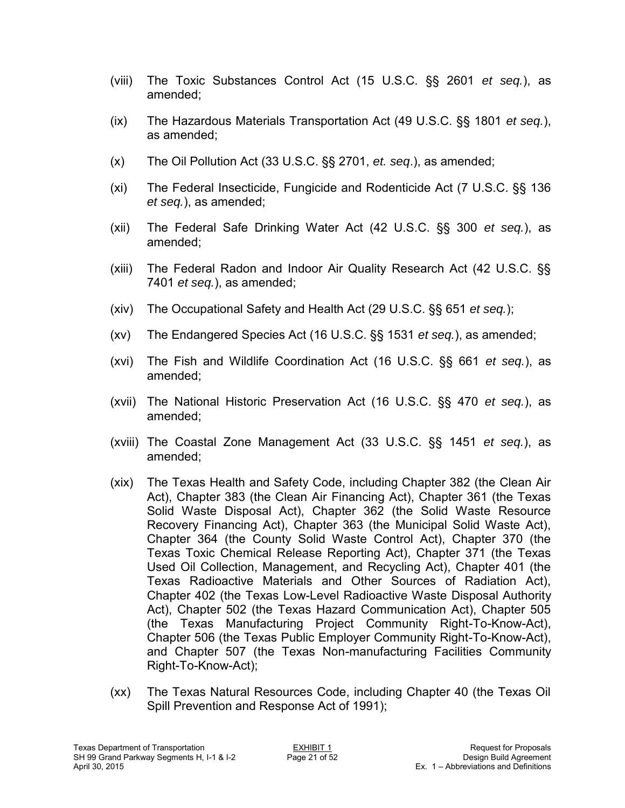- (viii) The Toxic Substances Control Act (15 U.S.C. §§ 2601 *et seq.*), as amended;
- (ix) The Hazardous Materials Transportation Act (49 U.S.C. §§ 1801 *et seq.*), as amended;
- (x) The Oil Pollution Act (33 U.S.C. §§ 2701, *et. seq*.), as amended;
- (xi) The Federal Insecticide, Fungicide and Rodenticide Act (7 U.S.C. §§ 136 *et seq.*), as amended;
- (xii) The Federal Safe Drinking Water Act (42 U.S.C. §§ 300 *et seq.*), as amended;
- (xiii) The Federal Radon and Indoor Air Quality Research Act (42 U.S.C. §§ 7401 *et seq.*), as amended;
- (xiv) The Occupational Safety and Health Act (29 U.S.C. §§ 651 *et seq.*);
- (xv) The Endangered Species Act (16 U.S.C. §§ 1531 *et seq.*), as amended;
- (xvi) The Fish and Wildlife Coordination Act (16 U.S.C. §§ 661 *et seq.*), as amended;
- (xvii) The National Historic Preservation Act (16 U.S.C. §§ 470 *et seq.*), as amended;
- (xviii) The Coastal Zone Management Act (33 U.S.C. §§ 1451 *et seq.*), as amended;
- (xix) The Texas Health and Safety Code, including Chapter 382 (the Clean Air Act), Chapter 383 (the Clean Air Financing Act), Chapter 361 (the Texas Solid Waste Disposal Act), Chapter 362 (the Solid Waste Resource Recovery Financing Act), Chapter 363 (the Municipal Solid Waste Act), Chapter 364 (the County Solid Waste Control Act), Chapter 370 (the Texas Toxic Chemical Release Reporting Act), Chapter 371 (the Texas Used Oil Collection, Management, and Recycling Act), Chapter 401 (the Texas Radioactive Materials and Other Sources of Radiation Act), Chapter 402 (the Texas Low-Level Radioactive Waste Disposal Authority Act), Chapter 502 (the Texas Hazard Communication Act), Chapter 505 (the Texas Manufacturing Project Community Right-To-Know-Act), Chapter 506 (the Texas Public Employer Community Right-To-Know-Act), and Chapter 507 (the Texas Non-manufacturing Facilities Community Right-To-Know-Act);
- (xx) The Texas Natural Resources Code, including Chapter 40 (the Texas Oil Spill Prevention and Response Act of 1991);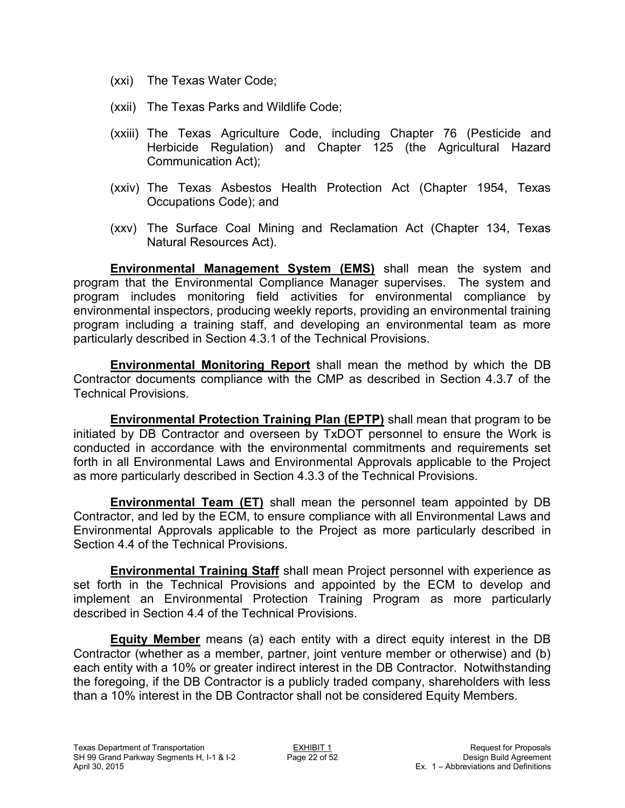- (xxi) The Texas Water Code;
- (xxii) The Texas Parks and Wildlife Code;
- (xxiii) The Texas Agriculture Code, including Chapter 76 (Pesticide and Herbicide Regulation) and Chapter 125 (the Agricultural Hazard Communication Act);
- (xxiv) The Texas Asbestos Health Protection Act (Chapter 1954, Texas Occupations Code); and
- (xxv) The Surface Coal Mining and Reclamation Act (Chapter 134, Texas Natural Resources Act).

**Environmental Management System (EMS)** shall mean the system and program that the Environmental Compliance Manager supervises. The system and program includes monitoring field activities for environmental compliance by environmental inspectors, producing weekly reports, providing an environmental training program including a training staff, and developing an environmental team as more particularly described in Section 4.3.1 of the Technical Provisions.

**Environmental Monitoring Report** shall mean the method by which the DB Contractor documents compliance with the CMP as described in Section 4.3.7 of the Technical Provisions.

**Environmental Protection Training Plan (EPTP)** shall mean that program to be initiated by DB Contractor and overseen by TxDOT personnel to ensure the Work is conducted in accordance with the environmental commitments and requirements set forth in all Environmental Laws and Environmental Approvals applicable to the Project as more particularly described in Section 4.3.3 of the Technical Provisions.

**Environmental Team (ET)** shall mean the personnel team appointed by DB Contractor, and led by the ECM, to ensure compliance with all Environmental Laws and Environmental Approvals applicable to the Project as more particularly described in Section 4.4 of the Technical Provisions.

**Environmental Training Staff** shall mean Project personnel with experience as set forth in the Technical Provisions and appointed by the ECM to develop and implement an Environmental Protection Training Program as more particularly described in Section 4.4 of the Technical Provisions.

**Equity Member** means (a) each entity with a direct equity interest in the DB Contractor (whether as a member, partner, joint venture member or otherwise) and (b) each entity with a 10% or greater indirect interest in the DB Contractor. Notwithstanding the foregoing, if the DB Contractor is a publicly traded company, shareholders with less than a 10% interest in the DB Contractor shall not be considered Equity Members.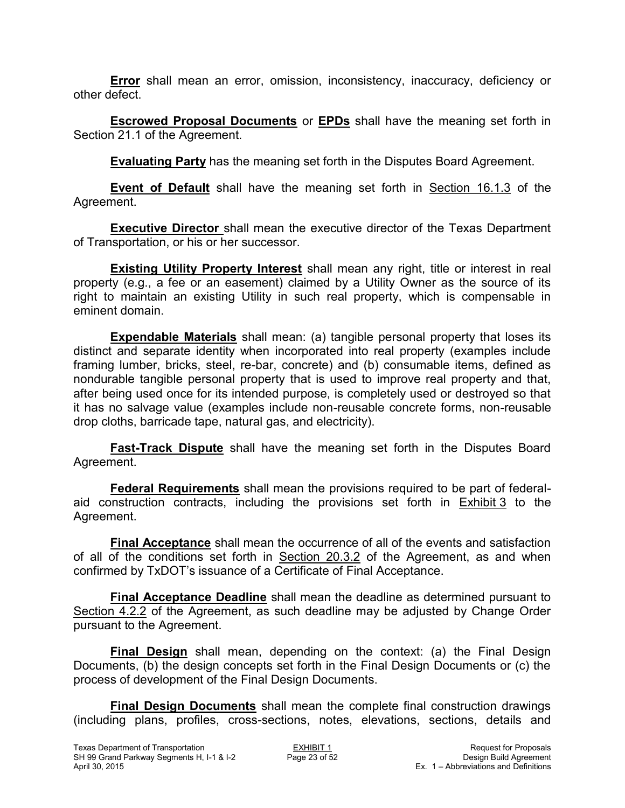**Error** shall mean an error, omission, inconsistency, inaccuracy, deficiency or other defect.

**Escrowed Proposal Documents** or **EPDs** shall have the meaning set forth in Section 21.1 of the Agreement.

**Evaluating Party** has the meaning set forth in the Disputes Board Agreement.

**Event of Default** shall have the meaning set forth in Section 16.1.3 of the Agreement.

**Executive Director** shall mean the executive director of the Texas Department of Transportation, or his or her successor.

**Existing Utility Property Interest** shall mean any right, title or interest in real property (e.g., a fee or an easement) claimed by a Utility Owner as the source of its right to maintain an existing Utility in such real property, which is compensable in eminent domain.

**Expendable Materials** shall mean: (a) tangible personal property that loses its distinct and separate identity when incorporated into real property (examples include framing lumber, bricks, steel, re-bar, concrete) and (b) consumable items, defined as nondurable tangible personal property that is used to improve real property and that, after being used once for its intended purpose, is completely used or destroyed so that it has no salvage value (examples include non-reusable concrete forms, non-reusable drop cloths, barricade tape, natural gas, and electricity).

**Fast-Track Dispute** shall have the meaning set forth in the Disputes Board Agreement.

**Federal Requirements** shall mean the provisions required to be part of federalaid construction contracts, including the provisions set forth in Exhibit 3 to the Agreement.

**Final Acceptance** shall mean the occurrence of all of the events and satisfaction of all of the conditions set forth in Section 20.3.2 of the Agreement, as and when confirmed by TxDOT's issuance of a Certificate of Final Acceptance.

**Final Acceptance Deadline** shall mean the deadline as determined pursuant to Section 4.2.2 of the Agreement, as such deadline may be adjusted by Change Order pursuant to the Agreement.

**Final Design** shall mean, depending on the context: (a) the Final Design Documents, (b) the design concepts set forth in the Final Design Documents or (c) the process of development of the Final Design Documents.

**Final Design Documents** shall mean the complete final construction drawings (including plans, profiles, cross-sections, notes, elevations, sections, details and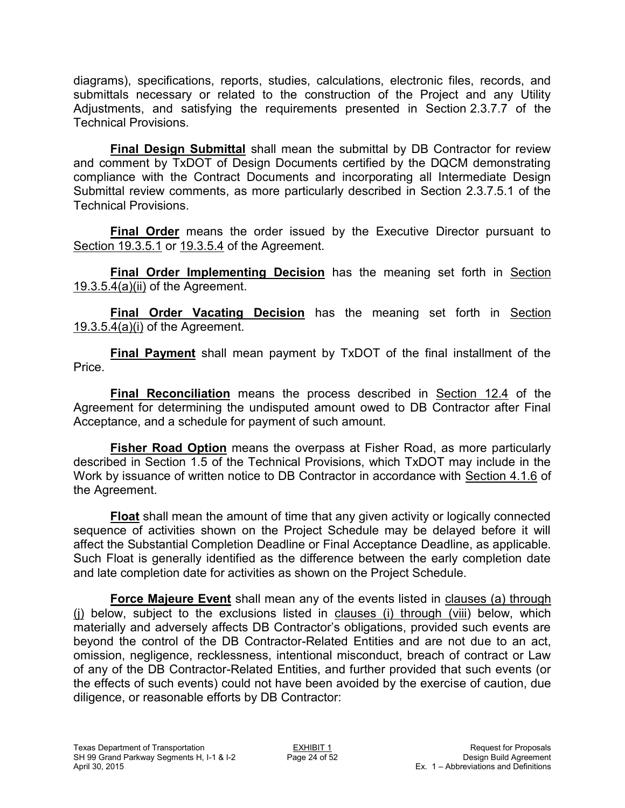diagrams), specifications, reports, studies, calculations, electronic files, records, and submittals necessary or related to the construction of the Project and any Utility Adjustments, and satisfying the requirements presented in Section 2.3.7.7 of the Technical Provisions.

**Final Design Submittal** shall mean the submittal by DB Contractor for review and comment by TxDOT of Design Documents certified by the DQCM demonstrating compliance with the Contract Documents and incorporating all Intermediate Design Submittal review comments, as more particularly described in Section 2.3.7.5.1 of the Technical Provisions.

**Final Order** means the order issued by the Executive Director pursuant to Section 19.3.5.1 or 19.3.5.4 of the Agreement.

**Final Order Implementing Decision** has the meaning set forth in Section 19.3.5.4(a)(ii) of the Agreement.

**Final Order Vacating Decision** has the meaning set forth in Section 19.3.5.4(a)(i) of the Agreement.

**Final Payment** shall mean payment by TxDOT of the final installment of the Price.

**Final Reconciliation** means the process described in Section 12.4 of the Agreement for determining the undisputed amount owed to DB Contractor after Final Acceptance, and a schedule for payment of such amount.

**Fisher Road Option** means the overpass at Fisher Road, as more particularly described in Section 1.5 of the Technical Provisions, which TxDOT may include in the Work by issuance of written notice to DB Contractor in accordance with Section 4.1.6 of the Agreement.

**Float** shall mean the amount of time that any given activity or logically connected sequence of activities shown on the Project Schedule may be delayed before it will affect the Substantial Completion Deadline or Final Acceptance Deadline, as applicable. Such Float is generally identified as the difference between the early completion date and late completion date for activities as shown on the Project Schedule.

**Force Majeure Event** shall mean any of the events listed in clauses (a) through (j) below, subject to the exclusions listed in clauses (i) through (viii) below, which materially and adversely affects DB Contractor's obligations, provided such events are beyond the control of the DB Contractor-Related Entities and are not due to an act, omission, negligence, recklessness, intentional misconduct, breach of contract or Law of any of the DB Contractor-Related Entities, and further provided that such events (or the effects of such events) could not have been avoided by the exercise of caution, due diligence, or reasonable efforts by DB Contractor: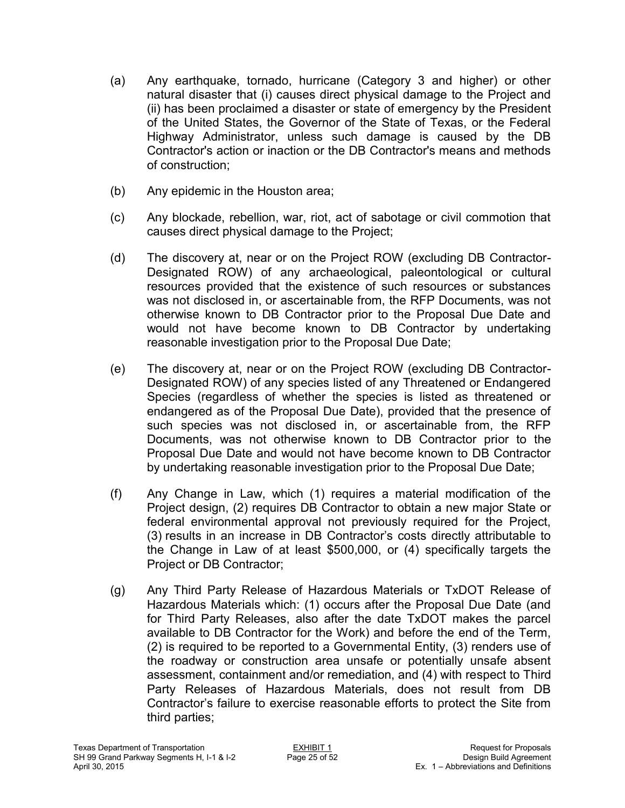- (a) Any earthquake, tornado, hurricane (Category 3 and higher) or other natural disaster that (i) causes direct physical damage to the Project and (ii) has been proclaimed a disaster or state of emergency by the President of the United States, the Governor of the State of Texas, or the Federal Highway Administrator, unless such damage is caused by the DB Contractor's action or inaction or the DB Contractor's means and methods of construction;
- (b) Any epidemic in the Houston area;
- (c) Any blockade, rebellion, war, riot, act of sabotage or civil commotion that causes direct physical damage to the Project;
- (d) The discovery at, near or on the Project ROW (excluding DB Contractor-Designated ROW) of any archaeological, paleontological or cultural resources provided that the existence of such resources or substances was not disclosed in, or ascertainable from, the RFP Documents, was not otherwise known to DB Contractor prior to the Proposal Due Date and would not have become known to DB Contractor by undertaking reasonable investigation prior to the Proposal Due Date;
- (e) The discovery at, near or on the Project ROW (excluding DB Contractor-Designated ROW) of any species listed of any Threatened or Endangered Species (regardless of whether the species is listed as threatened or endangered as of the Proposal Due Date), provided that the presence of such species was not disclosed in, or ascertainable from, the RFP Documents, was not otherwise known to DB Contractor prior to the Proposal Due Date and would not have become known to DB Contractor by undertaking reasonable investigation prior to the Proposal Due Date;
- (f) Any Change in Law, which (1) requires a material modification of the Project design, (2) requires DB Contractor to obtain a new major State or federal environmental approval not previously required for the Project, (3) results in an increase in DB Contractor's costs directly attributable to the Change in Law of at least \$500,000, or (4) specifically targets the Project or DB Contractor;
- (g) Any Third Party Release of Hazardous Materials or TxDOT Release of Hazardous Materials which: (1) occurs after the Proposal Due Date (and for Third Party Releases, also after the date TxDOT makes the parcel available to DB Contractor for the Work) and before the end of the Term, (2) is required to be reported to a Governmental Entity, (3) renders use of the roadway or construction area unsafe or potentially unsafe absent assessment, containment and/or remediation, and (4) with respect to Third Party Releases of Hazardous Materials, does not result from DB Contractor's failure to exercise reasonable efforts to protect the Site from third parties;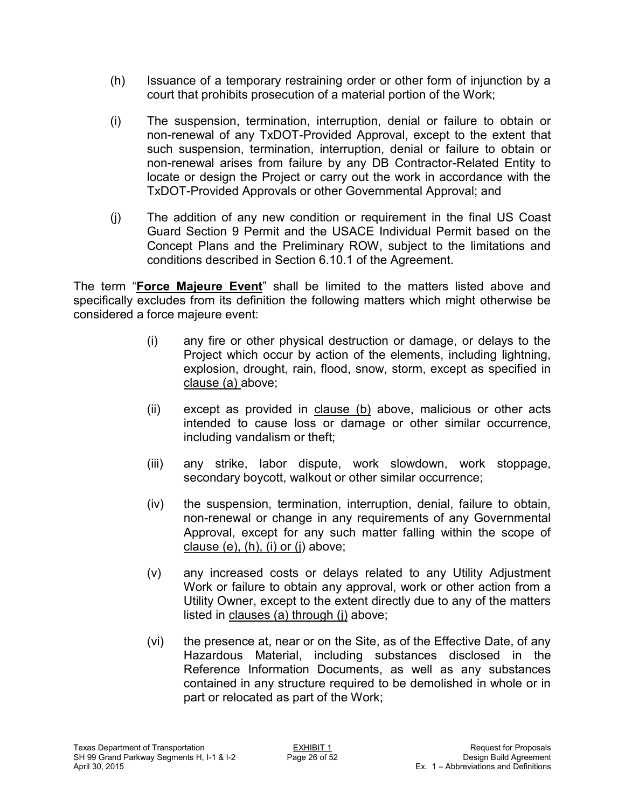- (h) Issuance of a temporary restraining order or other form of injunction by a court that prohibits prosecution of a material portion of the Work;
- (i) The suspension, termination, interruption, denial or failure to obtain or non-renewal of any TxDOT-Provided Approval, except to the extent that such suspension, termination, interruption, denial or failure to obtain or non-renewal arises from failure by any DB Contractor-Related Entity to locate or design the Project or carry out the work in accordance with the TxDOT-Provided Approvals or other Governmental Approval; and
- (j) The addition of any new condition or requirement in the final US Coast Guard Section 9 Permit and the USACE Individual Permit based on the Concept Plans and the Preliminary ROW, subject to the limitations and conditions described in Section 6.10.1 of the Agreement.

The term "**Force Majeure Event**" shall be limited to the matters listed above and specifically excludes from its definition the following matters which might otherwise be considered a force majeure event:

- (i) any fire or other physical destruction or damage, or delays to the Project which occur by action of the elements, including lightning, explosion, drought, rain, flood, snow, storm, except as specified in clause (a) above;
- (ii) except as provided in clause (b) above, malicious or other acts intended to cause loss or damage or other similar occurrence, including vandalism or theft;
- (iii) any strike, labor dispute, work slowdown, work stoppage, secondary boycott, walkout or other similar occurrence;
- (iv) the suspension, termination, interruption, denial, failure to obtain, non-renewal or change in any requirements of any Governmental Approval, except for any such matter falling within the scope of clause (e), (h), (i) or (j) above;
- (v) any increased costs or delays related to any Utility Adjustment Work or failure to obtain any approval, work or other action from a Utility Owner, except to the extent directly due to any of the matters listed in clauses (a) through (j) above;
- (vi) the presence at, near or on the Site, as of the Effective Date, of any Hazardous Material, including substances disclosed in the Reference Information Documents, as well as any substances contained in any structure required to be demolished in whole or in part or relocated as part of the Work;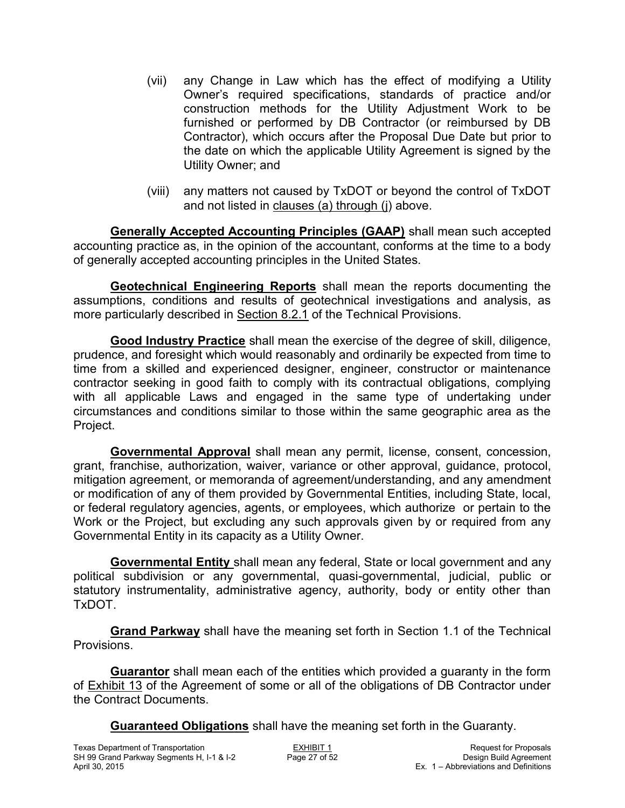- (vii) any Change in Law which has the effect of modifying a Utility Owner's required specifications, standards of practice and/or construction methods for the Utility Adjustment Work to be furnished or performed by DB Contractor (or reimbursed by DB Contractor), which occurs after the Proposal Due Date but prior to the date on which the applicable Utility Agreement is signed by the Utility Owner; and
- (viii) any matters not caused by TxDOT or beyond the control of TxDOT and not listed in clauses (a) through (j) above.

**Generally Accepted Accounting Principles (GAAP)** shall mean such accepted accounting practice as, in the opinion of the accountant, conforms at the time to a body of generally accepted accounting principles in the United States.

**Geotechnical Engineering Reports** shall mean the reports documenting the assumptions, conditions and results of geotechnical investigations and analysis, as more particularly described in Section 8.2.1 of the Technical Provisions.

**Good Industry Practice** shall mean the exercise of the degree of skill, diligence, prudence, and foresight which would reasonably and ordinarily be expected from time to time from a skilled and experienced designer, engineer, constructor or maintenance contractor seeking in good faith to comply with its contractual obligations, complying with all applicable Laws and engaged in the same type of undertaking under circumstances and conditions similar to those within the same geographic area as the Project.

**Governmental Approval** shall mean any permit, license, consent, concession, grant, franchise, authorization, waiver, variance or other approval, guidance, protocol, mitigation agreement, or memoranda of agreement/understanding, and any amendment or modification of any of them provided by Governmental Entities, including State, local, or federal regulatory agencies, agents, or employees, which authorize or pertain to the Work or the Project, but excluding any such approvals given by or required from any Governmental Entity in its capacity as a Utility Owner.

**Governmental Entity** shall mean any federal, State or local government and any political subdivision or any governmental, quasi-governmental, judicial, public or statutory instrumentality, administrative agency, authority, body or entity other than TxDOT.

**Grand Parkway** shall have the meaning set forth in Section 1.1 of the Technical **Provisions** 

**Guarantor** shall mean each of the entities which provided a guaranty in the form of Exhibit 13 of the Agreement of some or all of the obligations of DB Contractor under the Contract Documents.

**Guaranteed Obligations** shall have the meaning set forth in the Guaranty.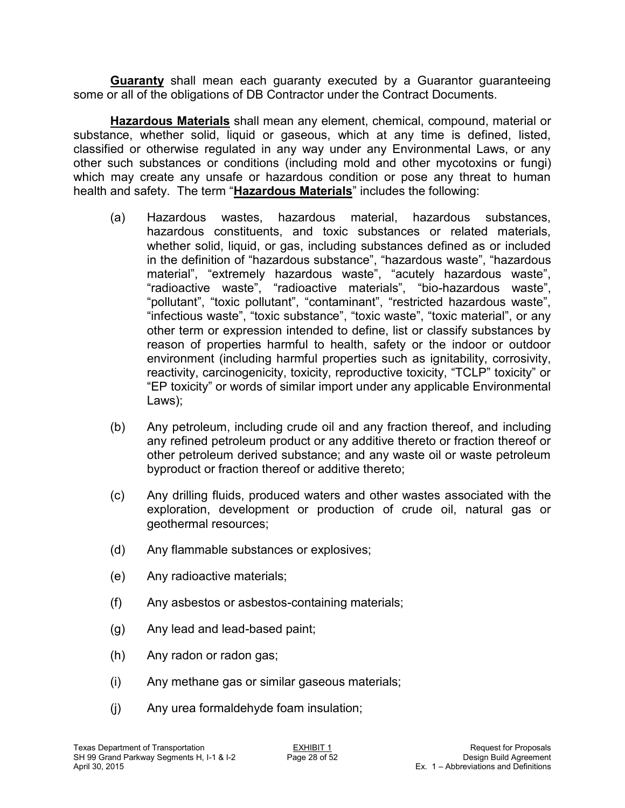**Guaranty** shall mean each guaranty executed by a Guarantor guaranteeing some or all of the obligations of DB Contractor under the Contract Documents.

**Hazardous Materials** shall mean any element, chemical, compound, material or substance, whether solid, liquid or gaseous, which at any time is defined, listed, classified or otherwise regulated in any way under any Environmental Laws, or any other such substances or conditions (including mold and other mycotoxins or fungi) which may create any unsafe or hazardous condition or pose any threat to human health and safety. The term "**Hazardous Materials**" includes the following:

- (a) Hazardous wastes, hazardous material, hazardous substances, hazardous constituents, and toxic substances or related materials, whether solid, liquid, or gas, including substances defined as or included in the definition of "hazardous substance", "hazardous waste", "hazardous material", "extremely hazardous waste", "acutely hazardous waste", "radioactive waste", "radioactive materials", "bio-hazardous waste", "pollutant", "toxic pollutant", "contaminant", "restricted hazardous waste", "infectious waste", "toxic substance", "toxic waste", "toxic material", or any other term or expression intended to define, list or classify substances by reason of properties harmful to health, safety or the indoor or outdoor environment (including harmful properties such as ignitability, corrosivity, reactivity, carcinogenicity, toxicity, reproductive toxicity, "TCLP" toxicity" or "EP toxicity" or words of similar import under any applicable Environmental Laws);
- (b) Any petroleum, including crude oil and any fraction thereof, and including any refined petroleum product or any additive thereto or fraction thereof or other petroleum derived substance; and any waste oil or waste petroleum byproduct or fraction thereof or additive thereto;
- (c) Any drilling fluids, produced waters and other wastes associated with the exploration, development or production of crude oil, natural gas or geothermal resources;
- (d) Any flammable substances or explosives;
- (e) Any radioactive materials;
- (f) Any asbestos or asbestos-containing materials;
- (g) Any lead and lead-based paint;
- (h) Any radon or radon gas;
- (i) Any methane gas or similar gaseous materials;
- (j) Any urea formaldehyde foam insulation;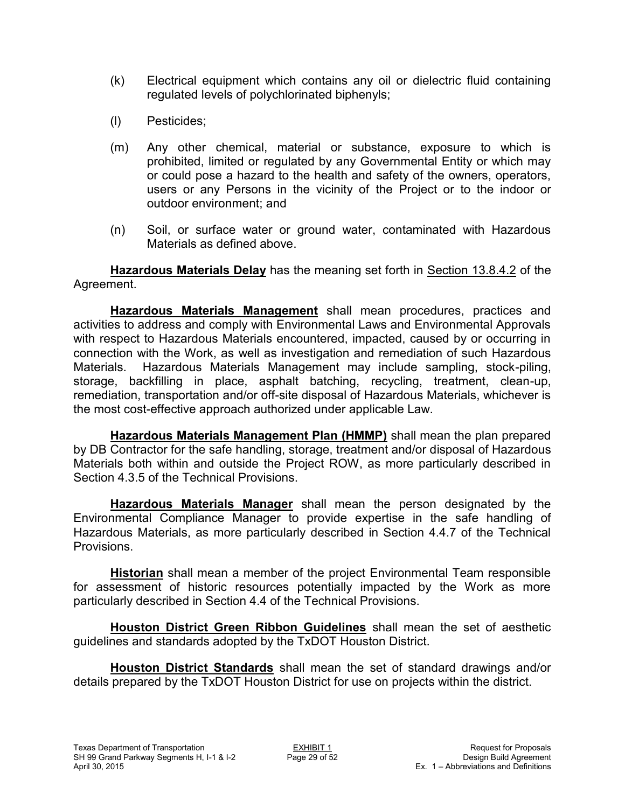- (k) Electrical equipment which contains any oil or dielectric fluid containing regulated levels of polychlorinated biphenyls;
- (l) Pesticides;
- (m) Any other chemical, material or substance, exposure to which is prohibited, limited or regulated by any Governmental Entity or which may or could pose a hazard to the health and safety of the owners, operators, users or any Persons in the vicinity of the Project or to the indoor or outdoor environment; and
- (n) Soil, or surface water or ground water, contaminated with Hazardous Materials as defined above.

**Hazardous Materials Delay** has the meaning set forth in Section 13.8.4.2 of the Agreement.

**Hazardous Materials Management** shall mean procedures, practices and activities to address and comply with Environmental Laws and Environmental Approvals with respect to Hazardous Materials encountered, impacted, caused by or occurring in connection with the Work, as well as investigation and remediation of such Hazardous Materials. Hazardous Materials Management may include sampling, stock-piling, storage, backfilling in place, asphalt batching, recycling, treatment, clean-up, remediation, transportation and/or off-site disposal of Hazardous Materials, whichever is the most cost-effective approach authorized under applicable Law.

**Hazardous Materials Management Plan (HMMP)** shall mean the plan prepared by DB Contractor for the safe handling, storage, treatment and/or disposal of Hazardous Materials both within and outside the Project ROW, as more particularly described in Section 4.3.5 of the Technical Provisions.

**Hazardous Materials Manager** shall mean the person designated by the Environmental Compliance Manager to provide expertise in the safe handling of Hazardous Materials, as more particularly described in Section 4.4.7 of the Technical Provisions.

**Historian** shall mean a member of the project Environmental Team responsible for assessment of historic resources potentially impacted by the Work as more particularly described in Section 4.4 of the Technical Provisions.

**Houston District Green Ribbon Guidelines** shall mean the set of aesthetic guidelines and standards adopted by the TxDOT Houston District.

**Houston District Standards** shall mean the set of standard drawings and/or details prepared by the TxDOT Houston District for use on projects within the district.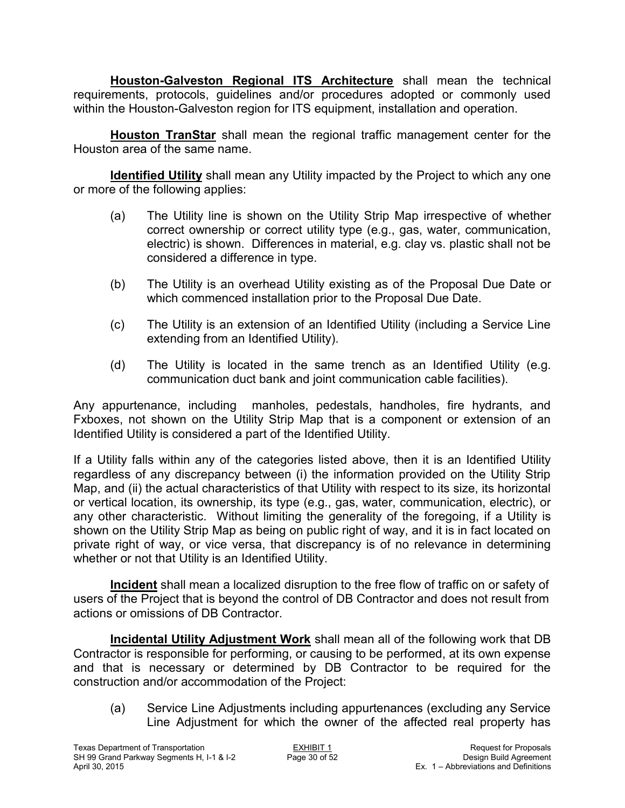**Houston-Galveston Regional ITS Architecture** shall mean the technical requirements, protocols, guidelines and/or procedures adopted or commonly used within the Houston-Galveston region for ITS equipment, installation and operation.

**Houston TranStar** shall mean the regional traffic management center for the Houston area of the same name.

**Identified Utility** shall mean any Utility impacted by the Project to which any one or more of the following applies:

- (a) The Utility line is shown on the Utility Strip Map irrespective of whether correct ownership or correct utility type (e.g., gas, water, communication, electric) is shown. Differences in material, e.g. clay vs. plastic shall not be considered a difference in type.
- (b) The Utility is an overhead Utility existing as of the Proposal Due Date or which commenced installation prior to the Proposal Due Date.
- (c) The Utility is an extension of an Identified Utility (including a Service Line extending from an Identified Utility).
- (d) The Utility is located in the same trench as an Identified Utility (e.g. communication duct bank and joint communication cable facilities).

Any appurtenance, including manholes, pedestals, handholes, fire hydrants, and Fxboxes, not shown on the Utility Strip Map that is a component or extension of an Identified Utility is considered a part of the Identified Utility.

If a Utility falls within any of the categories listed above, then it is an Identified Utility regardless of any discrepancy between (i) the information provided on the Utility Strip Map, and (ii) the actual characteristics of that Utility with respect to its size, its horizontal or vertical location, its ownership, its type (e.g., gas, water, communication, electric), or any other characteristic. Without limiting the generality of the foregoing, if a Utility is shown on the Utility Strip Map as being on public right of way, and it is in fact located on private right of way, or vice versa, that discrepancy is of no relevance in determining whether or not that Utility is an Identified Utility.

**Incident** shall mean a localized disruption to the free flow of traffic on or safety of users of the Project that is beyond the control of DB Contractor and does not result from actions or omissions of DB Contractor.

**Incidental Utility Adjustment Work** shall mean all of the following work that DB Contractor is responsible for performing, or causing to be performed, at its own expense and that is necessary or determined by DB Contractor to be required for the construction and/or accommodation of the Project:

(a) Service Line Adjustments including appurtenances (excluding any Service Line Adjustment for which the owner of the affected real property has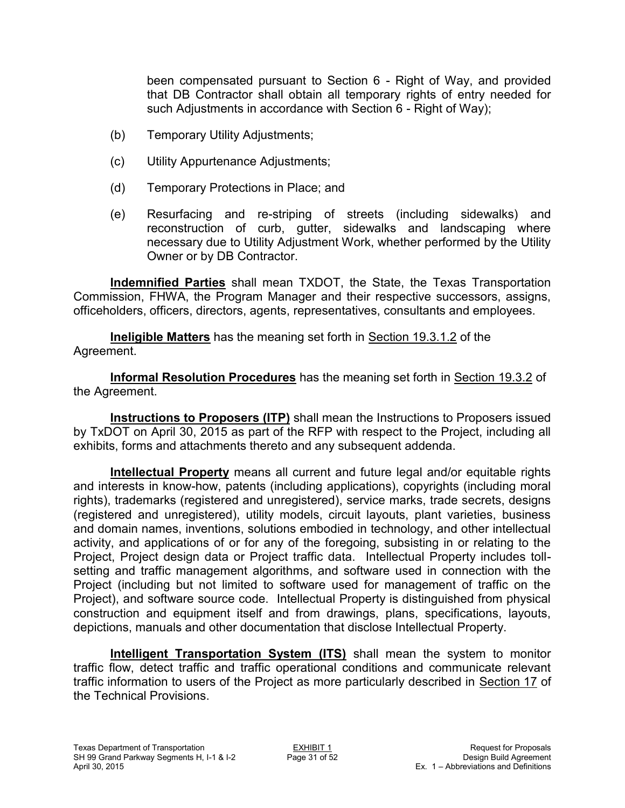been compensated pursuant to Section 6 - Right of Way, and provided that DB Contractor shall obtain all temporary rights of entry needed for such Adjustments in accordance with Section 6 - Right of Way);

- (b) Temporary Utility Adjustments;
- (c) Utility Appurtenance Adjustments;
- (d) Temporary Protections in Place; and
- (e) Resurfacing and re-striping of streets (including sidewalks) and reconstruction of curb, gutter, sidewalks and landscaping where necessary due to Utility Adjustment Work, whether performed by the Utility Owner or by DB Contractor.

**Indemnified Parties** shall mean TXDOT, the State, the Texas Transportation Commission, FHWA, the Program Manager and their respective successors, assigns, officeholders, officers, directors, agents, representatives, consultants and employees.

**Ineligible Matters** has the meaning set forth in Section 19.3.1.2 of the Agreement.

**Informal Resolution Procedures** has the meaning set forth in Section 19.3.2 of the Agreement.

**Instructions to Proposers (ITP)** shall mean the Instructions to Proposers issued by TxDOT on April 30, 2015 as part of the RFP with respect to the Project, including all exhibits, forms and attachments thereto and any subsequent addenda.

**Intellectual Property** means all current and future legal and/or equitable rights and interests in know-how, patents (including applications), copyrights (including moral rights), trademarks (registered and unregistered), service marks, trade secrets, designs (registered and unregistered), utility models, circuit layouts, plant varieties, business and domain names, inventions, solutions embodied in technology, and other intellectual activity, and applications of or for any of the foregoing, subsisting in or relating to the Project, Project design data or Project traffic data. Intellectual Property includes tollsetting and traffic management algorithms, and software used in connection with the Project (including but not limited to software used for management of traffic on the Project), and software source code. Intellectual Property is distinguished from physical construction and equipment itself and from drawings, plans, specifications, layouts, depictions, manuals and other documentation that disclose Intellectual Property.

**Intelligent Transportation System (ITS)** shall mean the system to monitor traffic flow, detect traffic and traffic operational conditions and communicate relevant traffic information to users of the Project as more particularly described in Section 17 of the Technical Provisions.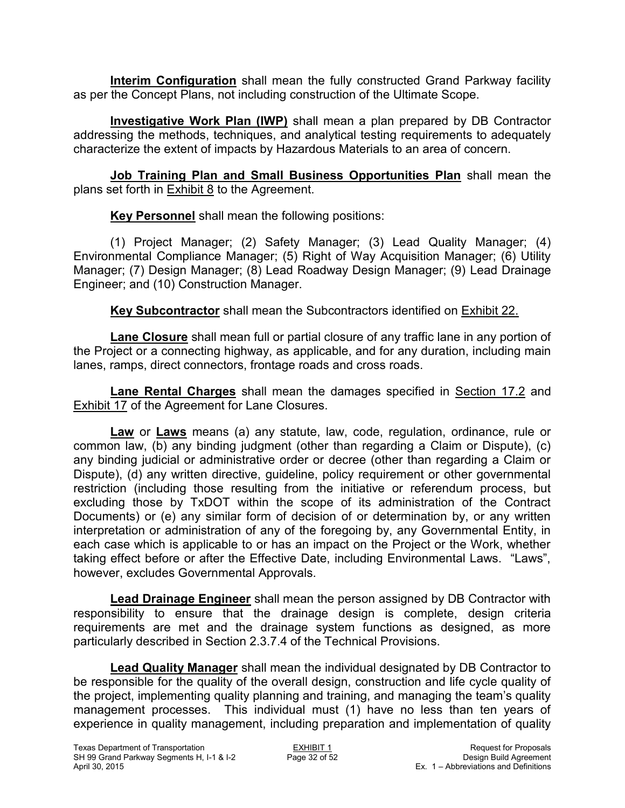**Interim Configuration** shall mean the fully constructed Grand Parkway facility as per the Concept Plans, not including construction of the Ultimate Scope.

**Investigative Work Plan (IWP)** shall mean a plan prepared by DB Contractor addressing the methods, techniques, and analytical testing requirements to adequately characterize the extent of impacts by Hazardous Materials to an area of concern.

**Job Training Plan and Small Business Opportunities Plan** shall mean the plans set forth in **Exhibit 8** to the Agreement.

**Key Personnel** shall mean the following positions:

(1) Project Manager; (2) Safety Manager; (3) Lead Quality Manager; (4) Environmental Compliance Manager; (5) Right of Way Acquisition Manager; (6) Utility Manager; (7) Design Manager; (8) Lead Roadway Design Manager; (9) Lead Drainage Engineer; and (10) Construction Manager.

**Key Subcontractor** shall mean the Subcontractors identified on Exhibit 22.

**Lane Closure** shall mean full or partial closure of any traffic lane in any portion of the Project or a connecting highway, as applicable, and for any duration, including main lanes, ramps, direct connectors, frontage roads and cross roads.

**Lane Rental Charges** shall mean the damages specified in Section 17.2 and Exhibit 17 of the Agreement for Lane Closures.

**Law** or **Laws** means (a) any statute, law, code, regulation, ordinance, rule or common law, (b) any binding judgment (other than regarding a Claim or Dispute), (c) any binding judicial or administrative order or decree (other than regarding a Claim or Dispute), (d) any written directive, guideline, policy requirement or other governmental restriction (including those resulting from the initiative or referendum process, but excluding those by TxDOT within the scope of its administration of the Contract Documents) or (e) any similar form of decision of or determination by, or any written interpretation or administration of any of the foregoing by, any Governmental Entity, in each case which is applicable to or has an impact on the Project or the Work, whether taking effect before or after the Effective Date, including Environmental Laws. "Laws", however, excludes Governmental Approvals.

**Lead Drainage Engineer** shall mean the person assigned by DB Contractor with responsibility to ensure that the drainage design is complete, design criteria requirements are met and the drainage system functions as designed, as more particularly described in Section 2.3.7.4 of the Technical Provisions.

**Lead Quality Manager** shall mean the individual designated by DB Contractor to be responsible for the quality of the overall design, construction and life cycle quality of the project, implementing quality planning and training, and managing the team's quality management processes. This individual must (1) have no less than ten years of experience in quality management, including preparation and implementation of quality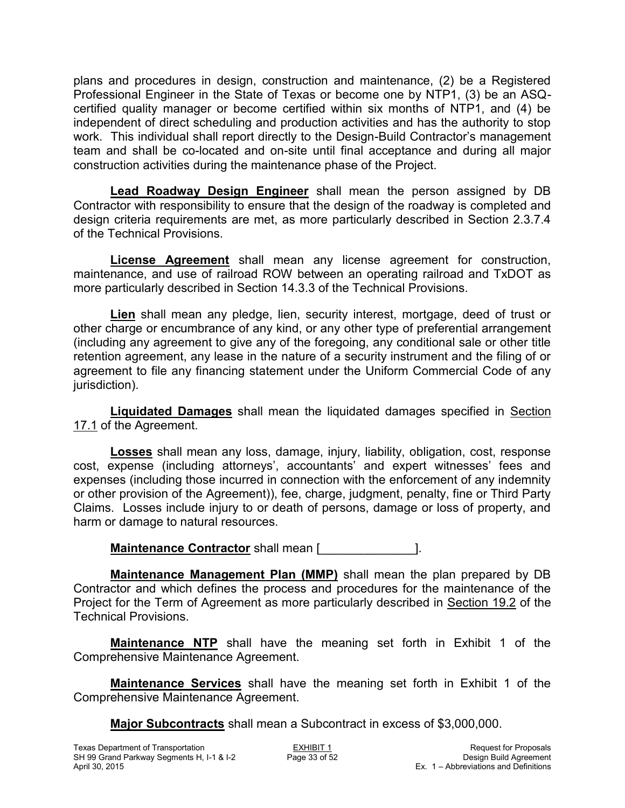plans and procedures in design, construction and maintenance, (2) be a Registered Professional Engineer in the State of Texas or become one by NTP1, (3) be an ASQcertified quality manager or become certified within six months of NTP1, and (4) be independent of direct scheduling and production activities and has the authority to stop work. This individual shall report directly to the Design-Build Contractor's management team and shall be co-located and on-site until final acceptance and during all major construction activities during the maintenance phase of the Project.

**Lead Roadway Design Engineer** shall mean the person assigned by DB Contractor with responsibility to ensure that the design of the roadway is completed and design criteria requirements are met, as more particularly described in Section 2.3.7.4 of the Technical Provisions.

**License Agreement** shall mean any license agreement for construction, maintenance, and use of railroad ROW between an operating railroad and TxDOT as more particularly described in Section 14.3.3 of the Technical Provisions.

**Lien** shall mean any pledge, lien, security interest, mortgage, deed of trust or other charge or encumbrance of any kind, or any other type of preferential arrangement (including any agreement to give any of the foregoing, any conditional sale or other title retention agreement, any lease in the nature of a security instrument and the filing of or agreement to file any financing statement under the Uniform Commercial Code of any jurisdiction).

**Liquidated Damages** shall mean the liquidated damages specified in Section 17.1 of the Agreement.

**Losses** shall mean any loss, damage, injury, liability, obligation, cost, response cost, expense (including attorneys', accountants' and expert witnesses' fees and expenses (including those incurred in connection with the enforcement of any indemnity or other provision of the Agreement)), fee, charge, judgment, penalty, fine or Third Party Claims. Losses include injury to or death of persons, damage or loss of property, and harm or damage to natural resources.

**Maintenance Contractor** shall mean [

**Maintenance Management Plan (MMP)** shall mean the plan prepared by DB Contractor and which defines the process and procedures for the maintenance of the Project for the Term of Agreement as more particularly described in Section 19.2 of the Technical Provisions.

**Maintenance NTP** shall have the meaning set forth in Exhibit 1 of the Comprehensive Maintenance Agreement.

**Maintenance Services** shall have the meaning set forth in Exhibit 1 of the Comprehensive Maintenance Agreement.

**Major Subcontracts** shall mean a Subcontract in excess of \$3,000,000.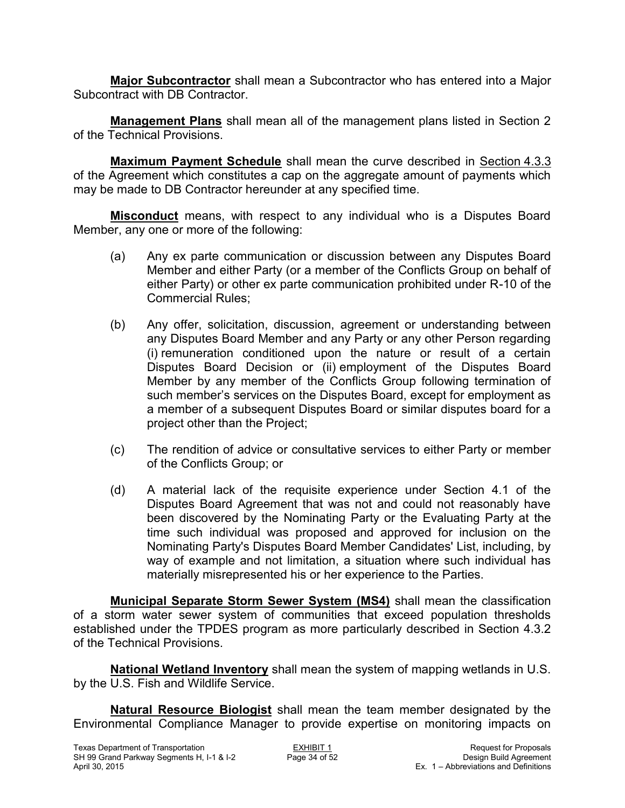**Major Subcontractor** shall mean a Subcontractor who has entered into a Major Subcontract with DB Contractor.

**Management Plans** shall mean all of the management plans listed in Section 2 of the Technical Provisions.

**Maximum Payment Schedule** shall mean the curve described in Section 4.3.3 of the Agreement which constitutes a cap on the aggregate amount of payments which may be made to DB Contractor hereunder at any specified time.

**Misconduct** means, with respect to any individual who is a Disputes Board Member, any one or more of the following:

- (a) Any ex parte communication or discussion between any Disputes Board Member and either Party (or a member of the Conflicts Group on behalf of either Party) or other ex parte communication prohibited under R-10 of the Commercial Rules;
- (b) Any offer, solicitation, discussion, agreement or understanding between any Disputes Board Member and any Party or any other Person regarding (i) remuneration conditioned upon the nature or result of a certain Disputes Board Decision or (ii) employment of the Disputes Board Member by any member of the Conflicts Group following termination of such member's services on the Disputes Board, except for employment as a member of a subsequent Disputes Board or similar disputes board for a project other than the Project;
- (c) The rendition of advice or consultative services to either Party or member of the Conflicts Group; or
- (d) A material lack of the requisite experience under Section 4.1 of the Disputes Board Agreement that was not and could not reasonably have been discovered by the Nominating Party or the Evaluating Party at the time such individual was proposed and approved for inclusion on the Nominating Party's Disputes Board Member Candidates' List, including, by way of example and not limitation, a situation where such individual has materially misrepresented his or her experience to the Parties.

**Municipal Separate Storm Sewer System (MS4)** shall mean the classification of a storm water sewer system of communities that exceed population thresholds established under the TPDES program as more particularly described in Section 4.3.2 of the Technical Provisions.

**National Wetland Inventory** shall mean the system of mapping wetlands in U.S. by the U.S. Fish and Wildlife Service.

**Natural Resource Biologist** shall mean the team member designated by the Environmental Compliance Manager to provide expertise on monitoring impacts on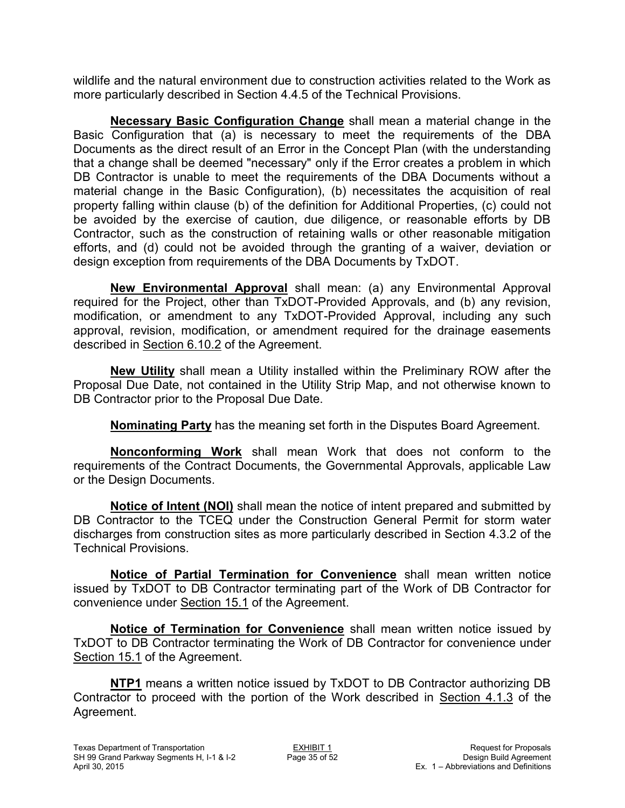wildlife and the natural environment due to construction activities related to the Work as more particularly described in Section 4.4.5 of the Technical Provisions.

**Necessary Basic Configuration Change** shall mean a material change in the Basic Configuration that (a) is necessary to meet the requirements of the DBA Documents as the direct result of an Error in the Concept Plan (with the understanding that a change shall be deemed "necessary" only if the Error creates a problem in which DB Contractor is unable to meet the requirements of the DBA Documents without a material change in the Basic Configuration), (b) necessitates the acquisition of real property falling within clause (b) of the definition for Additional Properties, (c) could not be avoided by the exercise of caution, due diligence, or reasonable efforts by DB Contractor, such as the construction of retaining walls or other reasonable mitigation efforts, and (d) could not be avoided through the granting of a waiver, deviation or design exception from requirements of the DBA Documents by TxDOT.

**New Environmental Approval** shall mean: (a) any Environmental Approval required for the Project, other than TxDOT-Provided Approvals, and (b) any revision, modification, or amendment to any TxDOT-Provided Approval, including any such approval, revision, modification, or amendment required for the drainage easements described in Section 6.10.2 of the Agreement.

**New Utility** shall mean a Utility installed within the Preliminary ROW after the Proposal Due Date, not contained in the Utility Strip Map, and not otherwise known to DB Contractor prior to the Proposal Due Date.

**Nominating Party** has the meaning set forth in the Disputes Board Agreement.

**Nonconforming Work** shall mean Work that does not conform to the requirements of the Contract Documents, the Governmental Approvals, applicable Law or the Design Documents.

**Notice of Intent (NOI)** shall mean the notice of intent prepared and submitted by DB Contractor to the TCEQ under the Construction General Permit for storm water discharges from construction sites as more particularly described in Section 4.3.2 of the Technical Provisions.

**Notice of Partial Termination for Convenience** shall mean written notice issued by TxDOT to DB Contractor terminating part of the Work of DB Contractor for convenience under Section 15.1 of the Agreement.

**Notice of Termination for Convenience** shall mean written notice issued by TxDOT to DB Contractor terminating the Work of DB Contractor for convenience under Section 15.1 of the Agreement.

**NTP1** means a written notice issued by TxDOT to DB Contractor authorizing DB Contractor to proceed with the portion of the Work described in Section 4.1.3 of the Agreement.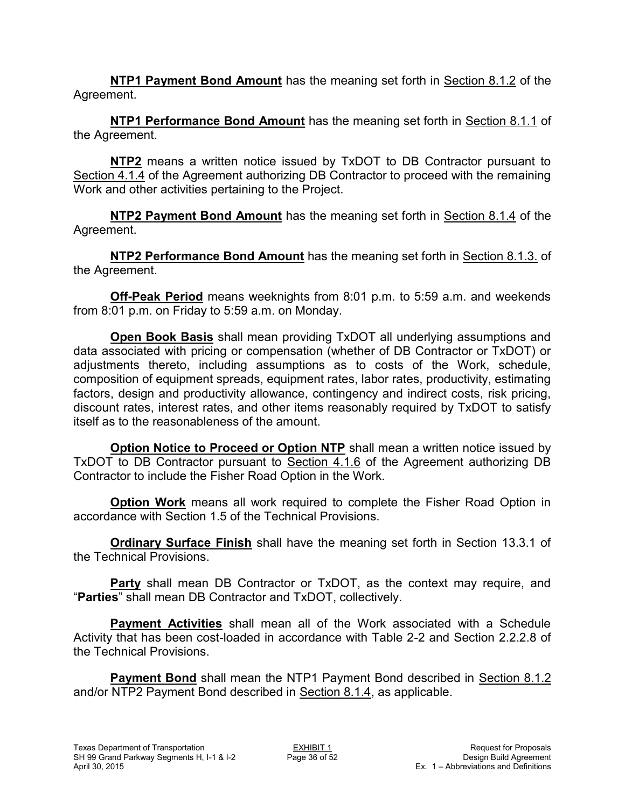**NTP1 Payment Bond Amount** has the meaning set forth in Section 8.1.2 of the Agreement.

**NTP1 Performance Bond Amount** has the meaning set forth in Section 8.1.1 of the Agreement.

**NTP2** means a written notice issued by TxDOT to DB Contractor pursuant to Section 4.1.4 of the Agreement authorizing DB Contractor to proceed with the remaining Work and other activities pertaining to the Project.

**NTP2 Payment Bond Amount** has the meaning set forth in Section 8.1.4 of the Agreement.

**NTP2 Performance Bond Amount** has the meaning set forth in Section 8.1.3. of the Agreement.

**Off-Peak Period** means weeknights from 8:01 p.m. to 5:59 a.m. and weekends from 8:01 p.m. on Friday to 5:59 a.m. on Monday.

**Open Book Basis** shall mean providing TxDOT all underlying assumptions and data associated with pricing or compensation (whether of DB Contractor or TxDOT) or adjustments thereto, including assumptions as to costs of the Work, schedule, composition of equipment spreads, equipment rates, labor rates, productivity, estimating factors, design and productivity allowance, contingency and indirect costs, risk pricing, discount rates, interest rates, and other items reasonably required by TxDOT to satisfy itself as to the reasonableness of the amount.

**Option Notice to Proceed or Option NTP** shall mean a written notice issued by TxDOT to DB Contractor pursuant to Section 4.1.6 of the Agreement authorizing DB Contractor to include the Fisher Road Option in the Work.

**Option Work** means all work required to complete the Fisher Road Option in accordance with Section 1.5 of the Technical Provisions.

**Ordinary Surface Finish** shall have the meaning set forth in Section 13.3.1 of the Technical Provisions.

**Party** shall mean DB Contractor or TxDOT, as the context may require, and "**Parties**" shall mean DB Contractor and TxDOT, collectively.

**Payment Activities** shall mean all of the Work associated with a Schedule Activity that has been cost-loaded in accordance with Table 2-2 and Section 2.2.2.8 of the Technical Provisions.

**Payment Bond** shall mean the NTP1 Payment Bond described in Section 8.1.2 and/or NTP2 Payment Bond described in Section 8.1.4, as applicable.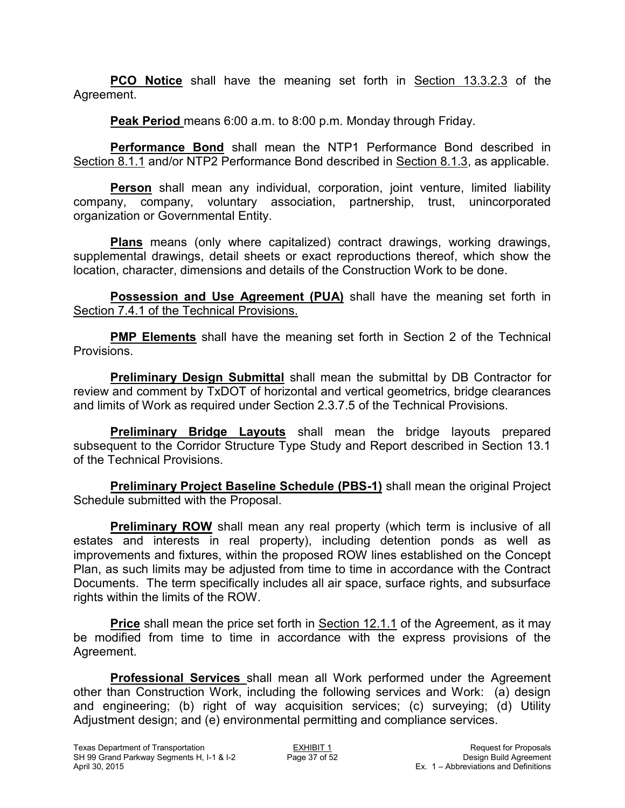**PCO Notice** shall have the meaning set forth in Section 13.3.2.3 of the Agreement.

**Peak Period** means 6:00 a.m. to 8:00 p.m. Monday through Friday.

**Performance Bond** shall mean the NTP1 Performance Bond described in Section 8.1.1 and/or NTP2 Performance Bond described in Section 8.1.3, as applicable.

**Person** shall mean any individual, corporation, joint venture, limited liability company, company, voluntary association, partnership, trust, unincorporated organization or Governmental Entity.

**Plans** means (only where capitalized) contract drawings, working drawings, supplemental drawings, detail sheets or exact reproductions thereof, which show the location, character, dimensions and details of the Construction Work to be done.

**Possession and Use Agreement (PUA)** shall have the meaning set forth in Section 7.4.1 of the Technical Provisions.

**PMP Elements** shall have the meaning set forth in Section 2 of the Technical Provisions.

**Preliminary Design Submittal** shall mean the submittal by DB Contractor for review and comment by TxDOT of horizontal and vertical geometrics, bridge clearances and limits of Work as required under Section 2.3.7.5 of the Technical Provisions.

**Preliminary Bridge Layouts** shall mean the bridge layouts prepared subsequent to the Corridor Structure Type Study and Report described in Section 13.1 of the Technical Provisions.

**Preliminary Project Baseline Schedule (PBS-1)** shall mean the original Project Schedule submitted with the Proposal.

**Preliminary ROW** shall mean any real property (which term is inclusive of all estates and interests in real property), including detention ponds as well as improvements and fixtures, within the proposed ROW lines established on the Concept Plan, as such limits may be adjusted from time to time in accordance with the Contract Documents. The term specifically includes all air space, surface rights, and subsurface rights within the limits of the ROW.

**Price** shall mean the price set forth in **Section 12.1.1** of the Agreement, as it may be modified from time to time in accordance with the express provisions of the Agreement.

**Professional Services** shall mean all Work performed under the Agreement other than Construction Work, including the following services and Work: (a) design and engineering; (b) right of way acquisition services; (c) surveying; (d) Utility Adjustment design; and (e) environmental permitting and compliance services.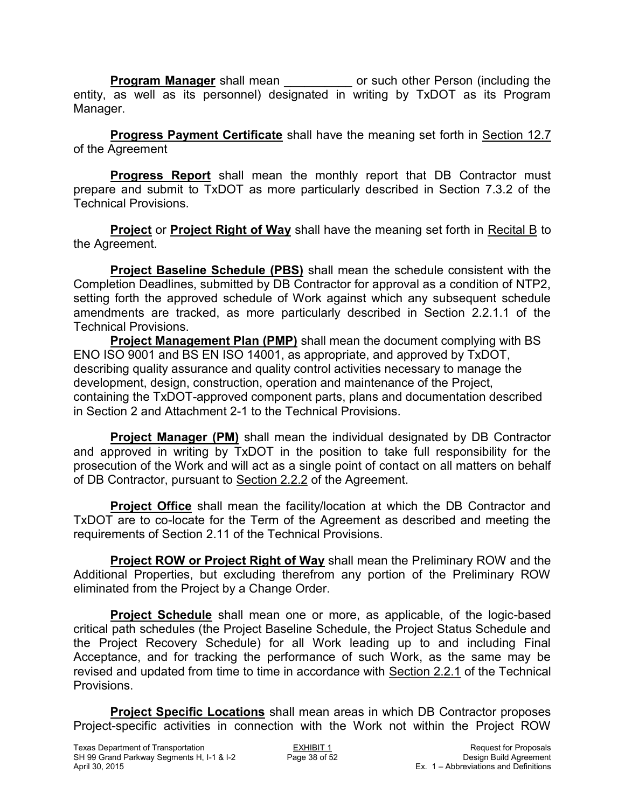**Program Manager** shall mean \_\_\_\_\_\_\_\_\_\_\_ or such other Person (including the entity, as well as its personnel) designated in writing by TxDOT as its Program Manager.

**Progress Payment Certificate** shall have the meaning set forth in Section 12.7 of the Agreement

**Progress Report** shall mean the monthly report that DB Contractor must prepare and submit to TxDOT as more particularly described in Section 7.3.2 of the Technical Provisions.

**Project** or **Project Right of Way** shall have the meaning set forth in Recital B to the Agreement.

**Project Baseline Schedule (PBS)** shall mean the schedule consistent with the Completion Deadlines, submitted by DB Contractor for approval as a condition of NTP2, setting forth the approved schedule of Work against which any subsequent schedule amendments are tracked, as more particularly described in Section 2.2.1.1 of the Technical Provisions.

 **Project Management Plan (PMP)** shall mean the document complying with BS ENO ISO 9001 and BS EN ISO 14001, as appropriate, and approved by TxDOT, describing quality assurance and quality control activities necessary to manage the development, design, construction, operation and maintenance of the Project, containing the TxDOT-approved component parts, plans and documentation described in Section 2 and Attachment 2-1 to the Technical Provisions.

**Project Manager (PM)** shall mean the individual designated by DB Contractor and approved in writing by TxDOT in the position to take full responsibility for the prosecution of the Work and will act as a single point of contact on all matters on behalf of DB Contractor, pursuant to Section 2.2.2 of the Agreement.

**Project Office** shall mean the facility/location at which the DB Contractor and TxDOT are to co-locate for the Term of the Agreement as described and meeting the requirements of Section 2.11 of the Technical Provisions.

**Project ROW or Project Right of Way** shall mean the Preliminary ROW and the Additional Properties, but excluding therefrom any portion of the Preliminary ROW eliminated from the Project by a Change Order.

**Project Schedule** shall mean one or more, as applicable, of the logic-based critical path schedules (the Project Baseline Schedule, the Project Status Schedule and the Project Recovery Schedule) for all Work leading up to and including Final Acceptance, and for tracking the performance of such Work, as the same may be revised and updated from time to time in accordance with Section 2.2.1 of the Technical Provisions.

**Project Specific Locations** shall mean areas in which DB Contractor proposes Project-specific activities in connection with the Work not within the Project ROW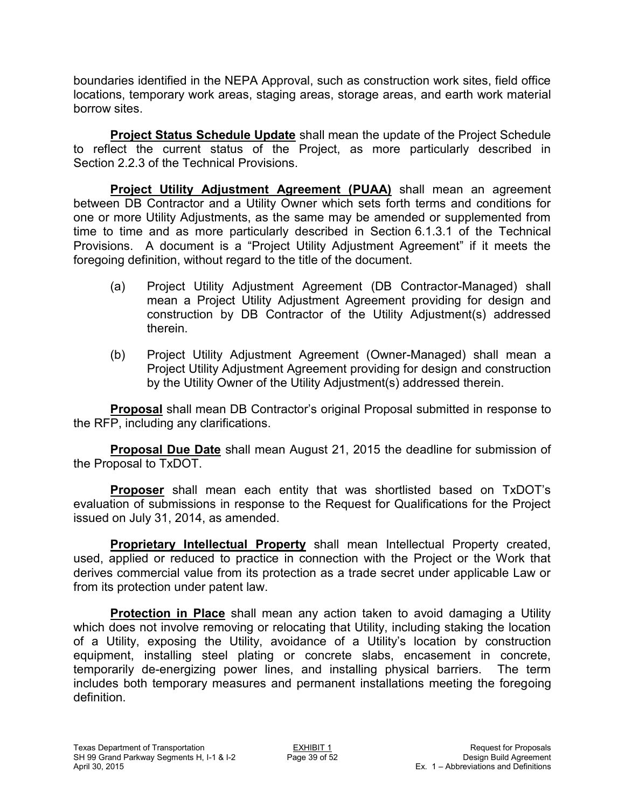boundaries identified in the NEPA Approval, such as construction work sites, field office locations, temporary work areas, staging areas, storage areas, and earth work material borrow sites.

**Project Status Schedule Update** shall mean the update of the Project Schedule to reflect the current status of the Project, as more particularly described in Section 2.2.3 of the Technical Provisions.

**Project Utility Adjustment Agreement (PUAA)** shall mean an agreement between DB Contractor and a Utility Owner which sets forth terms and conditions for one or more Utility Adjustments, as the same may be amended or supplemented from time to time and as more particularly described in Section 6.1.3.1 of the Technical Provisions. A document is a "Project Utility Adjustment Agreement" if it meets the foregoing definition, without regard to the title of the document.

- (a) Project Utility Adjustment Agreement (DB Contractor-Managed) shall mean a Project Utility Adjustment Agreement providing for design and construction by DB Contractor of the Utility Adjustment(s) addressed therein.
- (b) Project Utility Adjustment Agreement (Owner-Managed) shall mean a Project Utility Adjustment Agreement providing for design and construction by the Utility Owner of the Utility Adjustment(s) addressed therein.

**Proposal** shall mean DB Contractor's original Proposal submitted in response to the RFP, including any clarifications.

**Proposal Due Date** shall mean August 21, 2015 the deadline for submission of the Proposal to TxDOT.

**Proposer** shall mean each entity that was shortlisted based on TxDOT's evaluation of submissions in response to the Request for Qualifications for the Project issued on July 31, 2014, as amended.

**Proprietary Intellectual Property** shall mean Intellectual Property created, used, applied or reduced to practice in connection with the Project or the Work that derives commercial value from its protection as a trade secret under applicable Law or from its protection under patent law.

**Protection in Place** shall mean any action taken to avoid damaging a Utility which does not involve removing or relocating that Utility, including staking the location of a Utility, exposing the Utility, avoidance of a Utility's location by construction equipment, installing steel plating or concrete slabs, encasement in concrete, temporarily de-energizing power lines, and installing physical barriers. The term includes both temporary measures and permanent installations meeting the foregoing definition.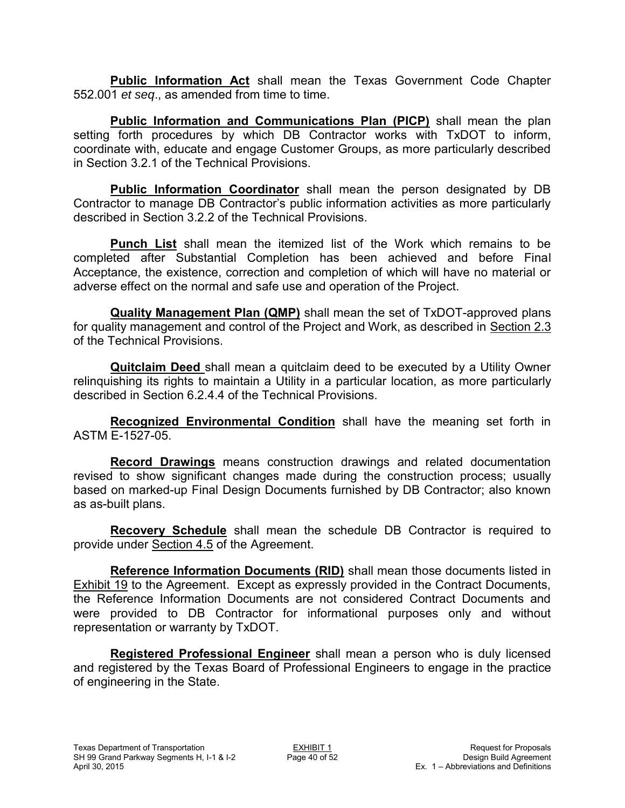**Public Information Act** shall mean the Texas Government Code Chapter 552.001 *et seq*., as amended from time to time.

**Public Information and Communications Plan (PICP)** shall mean the plan setting forth procedures by which DB Contractor works with TxDOT to inform, coordinate with, educate and engage Customer Groups, as more particularly described in Section 3.2.1 of the Technical Provisions.

**Public Information Coordinator** shall mean the person designated by DB Contractor to manage DB Contractor's public information activities as more particularly described in Section 3.2.2 of the Technical Provisions.

**Punch List** shall mean the itemized list of the Work which remains to be completed after Substantial Completion has been achieved and before Final Acceptance, the existence, correction and completion of which will have no material or adverse effect on the normal and safe use and operation of the Project.

**Quality Management Plan (QMP)** shall mean the set of TxDOT-approved plans for quality management and control of the Project and Work, as described in Section 2.3 of the Technical Provisions.

**Quitclaim Deed** shall mean a quitclaim deed to be executed by a Utility Owner relinquishing its rights to maintain a Utility in a particular location, as more particularly described in Section 6.2.4.4 of the Technical Provisions.

**Recognized Environmental Condition** shall have the meaning set forth in ASTM E-1527-05.

**Record Drawings** means construction drawings and related documentation revised to show significant changes made during the construction process; usually based on marked-up Final Design Documents furnished by DB Contractor; also known as as-built plans.

**Recovery Schedule** shall mean the schedule DB Contractor is required to provide under Section 4.5 of the Agreement.

**Reference Information Documents (RID)** shall mean those documents listed in Exhibit 19 to the Agreement. Except as expressly provided in the Contract Documents, the Reference Information Documents are not considered Contract Documents and were provided to DB Contractor for informational purposes only and without representation or warranty by TxDOT.

**Registered Professional Engineer** shall mean a person who is duly licensed and registered by the Texas Board of Professional Engineers to engage in the practice of engineering in the State.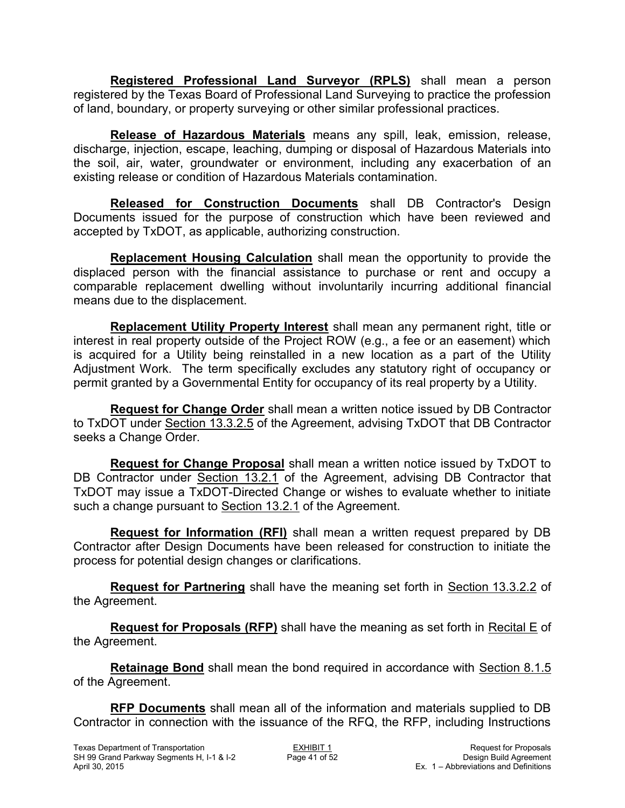**Registered Professional Land Surveyor (RPLS)** shall mean a person registered by the Texas Board of Professional Land Surveying to practice the profession of land, boundary, or property surveying or other similar professional practices.

**Release of Hazardous Materials** means any spill, leak, emission, release, discharge, injection, escape, leaching, dumping or disposal of Hazardous Materials into the soil, air, water, groundwater or environment, including any exacerbation of an existing release or condition of Hazardous Materials contamination.

**Released for Construction Documents** shall DB Contractor's Design Documents issued for the purpose of construction which have been reviewed and accepted by TxDOT, as applicable, authorizing construction.

**Replacement Housing Calculation** shall mean the opportunity to provide the displaced person with the financial assistance to purchase or rent and occupy a comparable replacement dwelling without involuntarily incurring additional financial means due to the displacement.

**Replacement Utility Property Interest** shall mean any permanent right, title or interest in real property outside of the Project ROW (e.g., a fee or an easement) which is acquired for a Utility being reinstalled in a new location as a part of the Utility Adjustment Work. The term specifically excludes any statutory right of occupancy or permit granted by a Governmental Entity for occupancy of its real property by a Utility.

**Request for Change Order** shall mean a written notice issued by DB Contractor to TxDOT under Section 13.3.2.5 of the Agreement, advising TxDOT that DB Contractor seeks a Change Order.

**Request for Change Proposal** shall mean a written notice issued by TxDOT to DB Contractor under Section 13.2.1 of the Agreement, advising DB Contractor that TxDOT may issue a TxDOT-Directed Change or wishes to evaluate whether to initiate such a change pursuant to Section 13.2.1 of the Agreement.

**Request for Information (RFI)** shall mean a written request prepared by DB Contractor after Design Documents have been released for construction to initiate the process for potential design changes or clarifications.

**Request for Partnering** shall have the meaning set forth in Section 13.3.2.2 of the Agreement.

**Request for Proposals (RFP)** shall have the meaning as set forth in Recital E of the Agreement.

**Retainage Bond** shall mean the bond required in accordance with Section 8.1.5 of the Agreement.

**RFP Documents** shall mean all of the information and materials supplied to DB Contractor in connection with the issuance of the RFQ, the RFP, including Instructions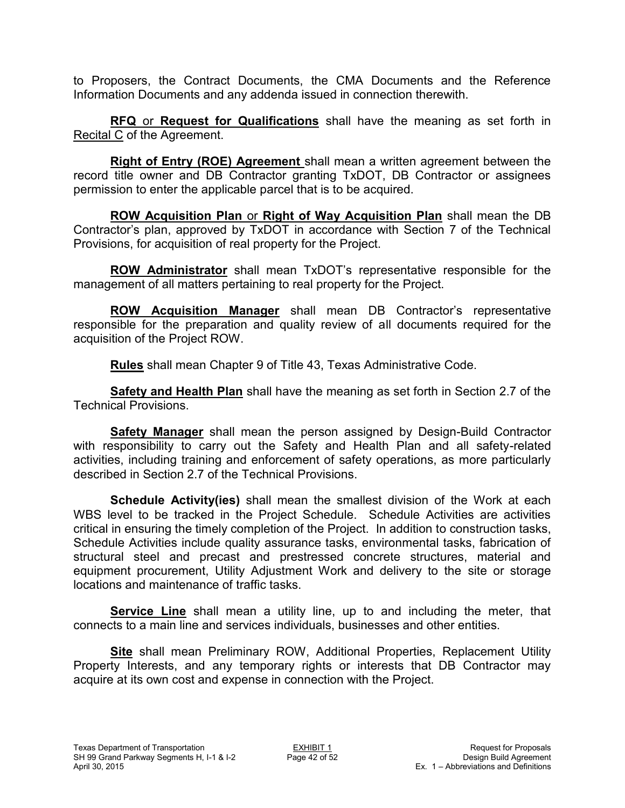to Proposers, the Contract Documents, the CMA Documents and the Reference Information Documents and any addenda issued in connection therewith.

**RFQ** or **Request for Qualifications** shall have the meaning as set forth in Recital C of the Agreement.

**Right of Entry (ROE) Agreement** shall mean a written agreement between the record title owner and DB Contractor granting TxDOT, DB Contractor or assignees permission to enter the applicable parcel that is to be acquired.

**ROW Acquisition Plan** or **Right of Way Acquisition Plan** shall mean the DB Contractor's plan, approved by TxDOT in accordance with Section 7 of the Technical Provisions, for acquisition of real property for the Project.

**ROW Administrator** shall mean TxDOT's representative responsible for the management of all matters pertaining to real property for the Project.

**ROW Acquisition Manager** shall mean DB Contractor's representative responsible for the preparation and quality review of all documents required for the acquisition of the Project ROW.

**Rules** shall mean Chapter 9 of Title 43, Texas Administrative Code.

**Safety and Health Plan** shall have the meaning as set forth in Section 2.7 of the Technical Provisions.

**Safety Manager** shall mean the person assigned by Design-Build Contractor with responsibility to carry out the Safety and Health Plan and all safety-related activities, including training and enforcement of safety operations, as more particularly described in Section 2.7 of the Technical Provisions.

**Schedule Activity(ies)** shall mean the smallest division of the Work at each WBS level to be tracked in the Project Schedule. Schedule Activities are activities critical in ensuring the timely completion of the Project. In addition to construction tasks, Schedule Activities include quality assurance tasks, environmental tasks, fabrication of structural steel and precast and prestressed concrete structures, material and equipment procurement, Utility Adjustment Work and delivery to the site or storage locations and maintenance of traffic tasks.

**Service Line** shall mean a utility line, up to and including the meter, that connects to a main line and services individuals, businesses and other entities.

**Site** shall mean Preliminary ROW, Additional Properties, Replacement Utility Property Interests, and any temporary rights or interests that DB Contractor may acquire at its own cost and expense in connection with the Project.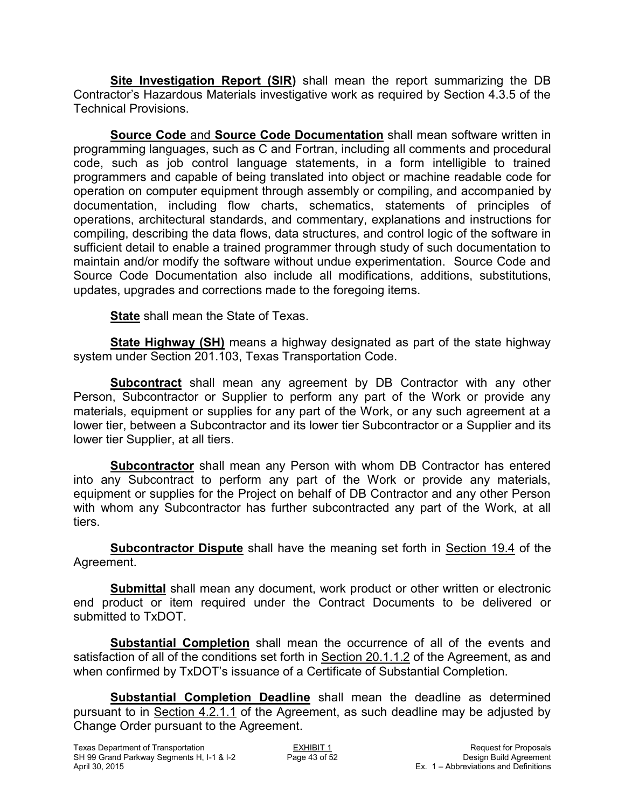**Site Investigation Report (SIR)** shall mean the report summarizing the DB Contractor's Hazardous Materials investigative work as required by Section 4.3.5 of the Technical Provisions.

**Source Code** and **Source Code Documentation** shall mean software written in programming languages, such as C and Fortran, including all comments and procedural code, such as job control language statements, in a form intelligible to trained programmers and capable of being translated into object or machine readable code for operation on computer equipment through assembly or compiling, and accompanied by documentation, including flow charts, schematics, statements of principles of operations, architectural standards, and commentary, explanations and instructions for compiling, describing the data flows, data structures, and control logic of the software in sufficient detail to enable a trained programmer through study of such documentation to maintain and/or modify the software without undue experimentation. Source Code and Source Code Documentation also include all modifications, additions, substitutions, updates, upgrades and corrections made to the foregoing items.

**State** shall mean the State of Texas.

**State Highway (SH)** means a highway designated as part of the state highway system under Section 201.103, Texas Transportation Code.

**Subcontract** shall mean any agreement by DB Contractor with any other Person, Subcontractor or Supplier to perform any part of the Work or provide any materials, equipment or supplies for any part of the Work, or any such agreement at a lower tier, between a Subcontractor and its lower tier Subcontractor or a Supplier and its lower tier Supplier, at all tiers.

**Subcontractor** shall mean any Person with whom DB Contractor has entered into any Subcontract to perform any part of the Work or provide any materials, equipment or supplies for the Project on behalf of DB Contractor and any other Person with whom any Subcontractor has further subcontracted any part of the Work, at all tiers.

**Subcontractor Dispute** shall have the meaning set forth in Section 19.4 of the Agreement.

**Submittal** shall mean any document, work product or other written or electronic end product or item required under the Contract Documents to be delivered or submitted to TxDOT.

**Substantial Completion** shall mean the occurrence of all of the events and satisfaction of all of the conditions set forth in Section 20.1.1.2 of the Agreement, as and when confirmed by TxDOT's issuance of a Certificate of Substantial Completion.

**Substantial Completion Deadline** shall mean the deadline as determined pursuant to in Section 4.2.1.1 of the Agreement, as such deadline may be adjusted by Change Order pursuant to the Agreement.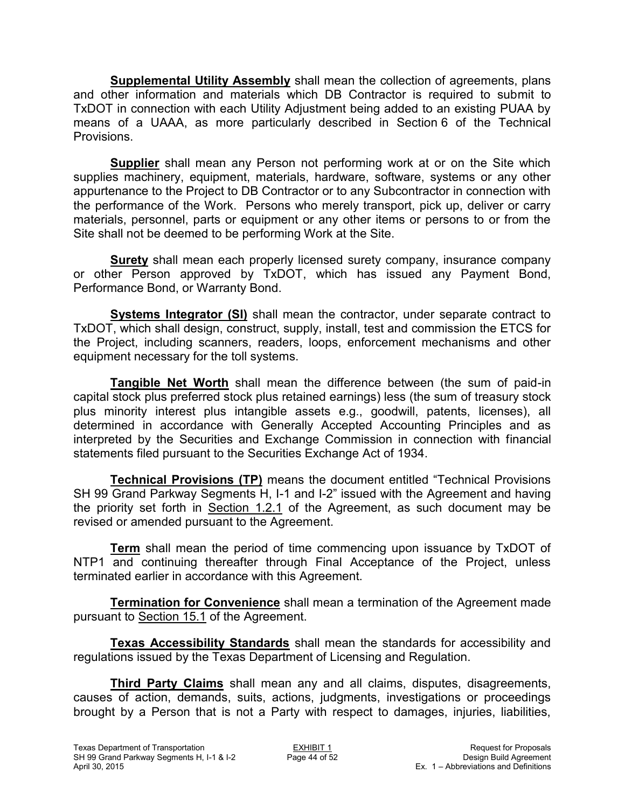**Supplemental Utility Assembly** shall mean the collection of agreements, plans and other information and materials which DB Contractor is required to submit to TxDOT in connection with each Utility Adjustment being added to an existing PUAA by means of a UAAA, as more particularly described in Section 6 of the Technical **Provisions** 

**Supplier** shall mean any Person not performing work at or on the Site which supplies machinery, equipment, materials, hardware, software, systems or any other appurtenance to the Project to DB Contractor or to any Subcontractor in connection with the performance of the Work. Persons who merely transport, pick up, deliver or carry materials, personnel, parts or equipment or any other items or persons to or from the Site shall not be deemed to be performing Work at the Site.

**Surety** shall mean each properly licensed surety company, insurance company or other Person approved by TxDOT, which has issued any Payment Bond, Performance Bond, or Warranty Bond.

**Systems Integrator (SI)** shall mean the contractor, under separate contract to TxDOT, which shall design, construct, supply, install, test and commission the ETCS for the Project, including scanners, readers, loops, enforcement mechanisms and other equipment necessary for the toll systems.

**Tangible Net Worth** shall mean the difference between (the sum of paid-in capital stock plus preferred stock plus retained earnings) less (the sum of treasury stock plus minority interest plus intangible assets e.g., goodwill, patents, licenses), all determined in accordance with Generally Accepted Accounting Principles and as interpreted by the Securities and Exchange Commission in connection with financial statements filed pursuant to the Securities Exchange Act of 1934.

**Technical Provisions (TP)** means the document entitled "Technical Provisions SH 99 Grand Parkway Segments H, I-1 and I-2" issued with the Agreement and having the priority set forth in Section 1.2.1 of the Agreement, as such document may be revised or amended pursuant to the Agreement.

**Term** shall mean the period of time commencing upon issuance by TxDOT of NTP1 and continuing thereafter through Final Acceptance of the Project, unless terminated earlier in accordance with this Agreement.

**Termination for Convenience** shall mean a termination of the Agreement made pursuant to Section 15.1 of the Agreement.

**Texas Accessibility Standards** shall mean the standards for accessibility and regulations issued by the Texas Department of Licensing and Regulation.

**Third Party Claims** shall mean any and all claims, disputes, disagreements, causes of action, demands, suits, actions, judgments, investigations or proceedings brought by a Person that is not a Party with respect to damages, injuries, liabilities,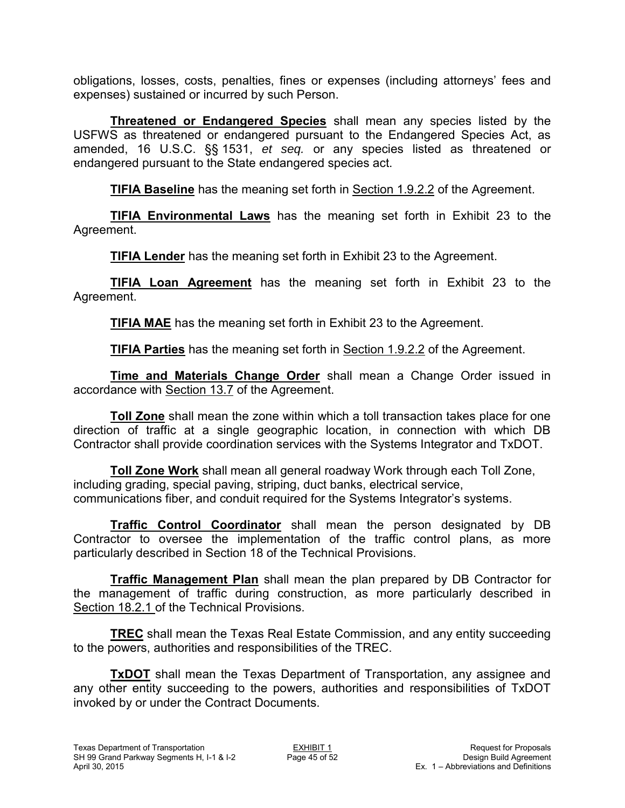obligations, losses, costs, penalties, fines or expenses (including attorneys' fees and expenses) sustained or incurred by such Person.

**Threatened or Endangered Species** shall mean any species listed by the USFWS as threatened or endangered pursuant to the Endangered Species Act, as amended, 16 U.S.C. §§ 1531, *et seq.* or any species listed as threatened or endangered pursuant to the State endangered species act.

**TIFIA Baseline** has the meaning set forth in Section 1.9.2.2 of the Agreement.

**TIFIA Environmental Laws** has the meaning set forth in Exhibit 23 to the Agreement.

**TIFIA Lender** has the meaning set forth in Exhibit 23 to the Agreement.

**TIFIA Loan Agreement** has the meaning set forth in Exhibit 23 to the Agreement.

**TIFIA MAE** has the meaning set forth in Exhibit 23 to the Agreement.

**TIFIA Parties** has the meaning set forth in Section 1.9.2.2 of the Agreement.

**Time and Materials Change Order** shall mean a Change Order issued in accordance with Section 13.7 of the Agreement.

**Toll Zone** shall mean the zone within which a toll transaction takes place for one direction of traffic at a single geographic location, in connection with which DB Contractor shall provide coordination services with the Systems Integrator and TxDOT.

**Toll Zone Work** shall mean all general roadway Work through each Toll Zone, including grading, special paving, striping, duct banks, electrical service, communications fiber, and conduit required for the Systems Integrator's systems.

**Traffic Control Coordinator** shall mean the person designated by DB Contractor to oversee the implementation of the traffic control plans, as more particularly described in Section 18 of the Technical Provisions.

**Traffic Management Plan** shall mean the plan prepared by DB Contractor for the management of traffic during construction, as more particularly described in Section 18.2.1 of the Technical Provisions.

**TREC** shall mean the Texas Real Estate Commission, and any entity succeeding to the powers, authorities and responsibilities of the TREC.

**TxDOT** shall mean the Texas Department of Transportation, any assignee and any other entity succeeding to the powers, authorities and responsibilities of TxDOT invoked by or under the Contract Documents.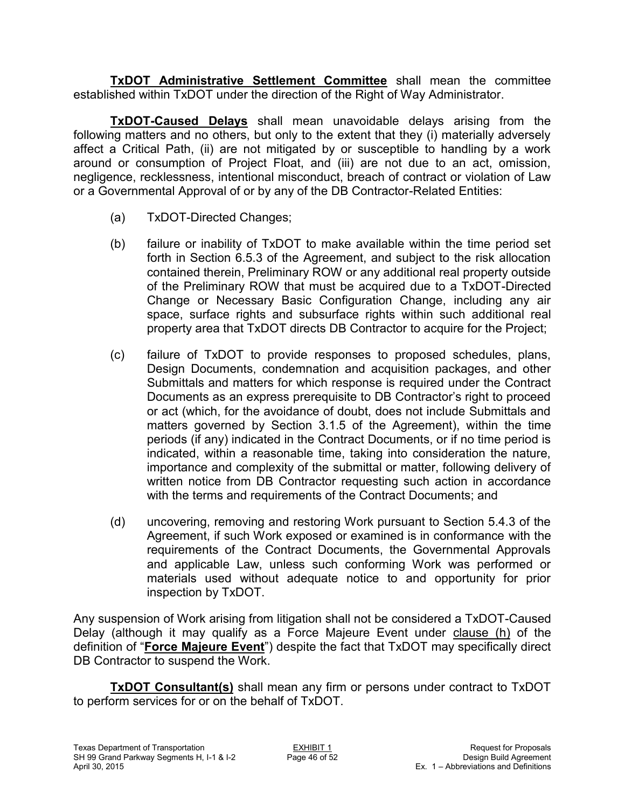**TxDOT Administrative Settlement Committee** shall mean the committee established within TxDOT under the direction of the Right of Way Administrator.

**TxDOT-Caused Delays** shall mean unavoidable delays arising from the following matters and no others, but only to the extent that they (i) materially adversely affect a Critical Path, (ii) are not mitigated by or susceptible to handling by a work around or consumption of Project Float, and (iii) are not due to an act, omission, negligence, recklessness, intentional misconduct, breach of contract or violation of Law or a Governmental Approval of or by any of the DB Contractor-Related Entities:

- (a) TxDOT-Directed Changes;
- (b) failure or inability of TxDOT to make available within the time period set forth in Section 6.5.3 of the Agreement, and subject to the risk allocation contained therein, Preliminary ROW or any additional real property outside of the Preliminary ROW that must be acquired due to a TxDOT-Directed Change or Necessary Basic Configuration Change, including any air space, surface rights and subsurface rights within such additional real property area that TxDOT directs DB Contractor to acquire for the Project;
- (c) failure of TxDOT to provide responses to proposed schedules, plans, Design Documents, condemnation and acquisition packages, and other Submittals and matters for which response is required under the Contract Documents as an express prerequisite to DB Contractor's right to proceed or act (which, for the avoidance of doubt, does not include Submittals and matters governed by Section 3.1.5 of the Agreement), within the time periods (if any) indicated in the Contract Documents, or if no time period is indicated, within a reasonable time, taking into consideration the nature, importance and complexity of the submittal or matter, following delivery of written notice from DB Contractor requesting such action in accordance with the terms and requirements of the Contract Documents; and
- (d) uncovering, removing and restoring Work pursuant to Section 5.4.3 of the Agreement, if such Work exposed or examined is in conformance with the requirements of the Contract Documents, the Governmental Approvals and applicable Law, unless such conforming Work was performed or materials used without adequate notice to and opportunity for prior inspection by TxDOT.

Any suspension of Work arising from litigation shall not be considered a TxDOT-Caused Delay (although it may qualify as a Force Majeure Event under clause (h) of the definition of "**Force Majeure Event**") despite the fact that TxDOT may specifically direct DB Contractor to suspend the Work.

**TxDOT Consultant(s)** shall mean any firm or persons under contract to TxDOT to perform services for or on the behalf of TxDOT.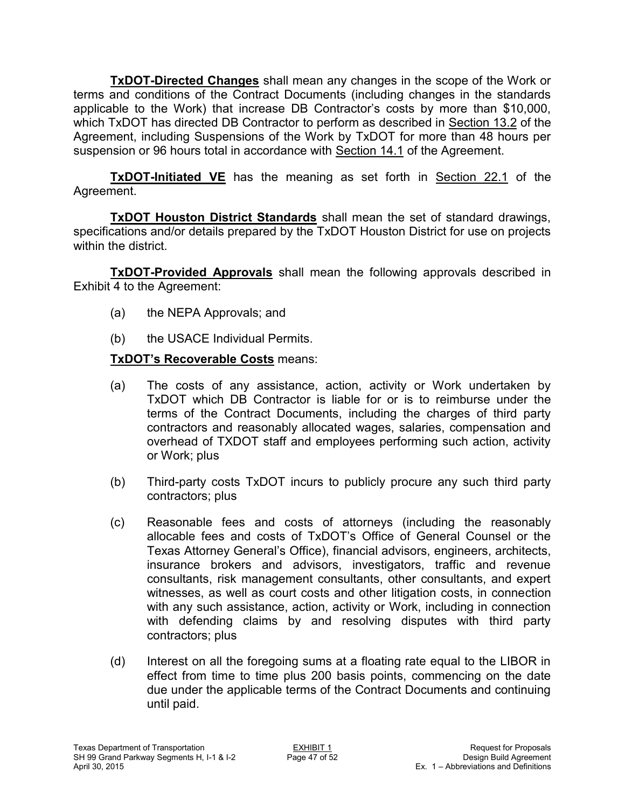**TxDOT-Directed Changes** shall mean any changes in the scope of the Work or terms and conditions of the Contract Documents (including changes in the standards applicable to the Work) that increase DB Contractor's costs by more than \$10,000, which TxDOT has directed DB Contractor to perform as described in Section 13.2 of the Agreement, including Suspensions of the Work by TxDOT for more than 48 hours per suspension or 96 hours total in accordance with Section 14.1 of the Agreement.

**TxDOT-Initiated VE** has the meaning as set forth in Section 22.1 of the Agreement.

**TxDOT Houston District Standards** shall mean the set of standard drawings, specifications and/or details prepared by the TxDOT Houston District for use on projects within the district.

**TxDOT-Provided Approvals** shall mean the following approvals described in Exhibit 4 to the Agreement:

- (a) the NEPA Approvals; and
- (b) the USACE Individual Permits.

## **TxDOT's Recoverable Costs** means:

- (a) The costs of any assistance, action, activity or Work undertaken by TxDOT which DB Contractor is liable for or is to reimburse under the terms of the Contract Documents, including the charges of third party contractors and reasonably allocated wages, salaries, compensation and overhead of TXDOT staff and employees performing such action, activity or Work; plus
- (b) Third-party costs TxDOT incurs to publicly procure any such third party contractors; plus
- (c) Reasonable fees and costs of attorneys (including the reasonably allocable fees and costs of TxDOT's Office of General Counsel or the Texas Attorney General's Office), financial advisors, engineers, architects, insurance brokers and advisors, investigators, traffic and revenue consultants, risk management consultants, other consultants, and expert witnesses, as well as court costs and other litigation costs, in connection with any such assistance, action, activity or Work, including in connection with defending claims by and resolving disputes with third party contractors; plus
- (d) Interest on all the foregoing sums at a floating rate equal to the LIBOR in effect from time to time plus 200 basis points, commencing on the date due under the applicable terms of the Contract Documents and continuing until paid.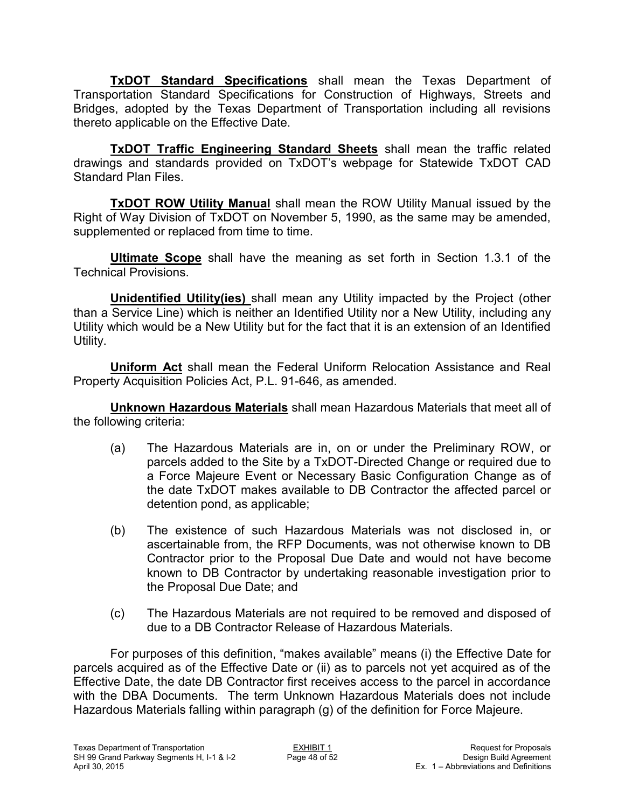**TxDOT Standard Specifications** shall mean the Texas Department of Transportation Standard Specifications for Construction of Highways, Streets and Bridges, adopted by the Texas Department of Transportation including all revisions thereto applicable on the Effective Date.

**TxDOT Traffic Engineering Standard Sheets** shall mean the traffic related drawings and standards provided on TxDOT's webpage for Statewide TxDOT CAD Standard Plan Files.

**TxDOT ROW Utility Manual** shall mean the ROW Utility Manual issued by the Right of Way Division of TxDOT on November 5, 1990, as the same may be amended, supplemented or replaced from time to time.

**Ultimate Scope** shall have the meaning as set forth in Section 1.3.1 of the Technical Provisions.

**Unidentified Utility(ies)** shall mean any Utility impacted by the Project (other than a Service Line) which is neither an Identified Utility nor a New Utility, including any Utility which would be a New Utility but for the fact that it is an extension of an Identified Utility.

**Uniform Act** shall mean the Federal Uniform Relocation Assistance and Real Property Acquisition Policies Act, P.L. 91-646, as amended.

**Unknown Hazardous Materials** shall mean Hazardous Materials that meet all of the following criteria:

- (a) The Hazardous Materials are in, on or under the Preliminary ROW, or parcels added to the Site by a TxDOT-Directed Change or required due to a Force Majeure Event or Necessary Basic Configuration Change as of the date TxDOT makes available to DB Contractor the affected parcel or detention pond, as applicable;
- (b) The existence of such Hazardous Materials was not disclosed in, or ascertainable from, the RFP Documents, was not otherwise known to DB Contractor prior to the Proposal Due Date and would not have become known to DB Contractor by undertaking reasonable investigation prior to the Proposal Due Date; and
- (c) The Hazardous Materials are not required to be removed and disposed of due to a DB Contractor Release of Hazardous Materials.

For purposes of this definition, "makes available" means (i) the Effective Date for parcels acquired as of the Effective Date or (ii) as to parcels not yet acquired as of the Effective Date, the date DB Contractor first receives access to the parcel in accordance with the DBA Documents. The term Unknown Hazardous Materials does not include Hazardous Materials falling within paragraph (g) of the definition for Force Majeure.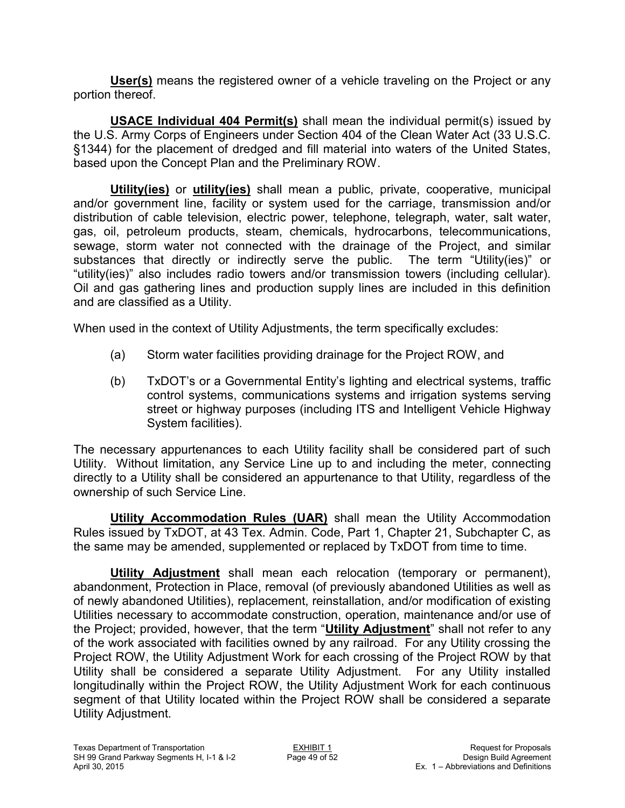**User(s)** means the registered owner of a vehicle traveling on the Project or any portion thereof.

**USACE Individual 404 Permit(s)** shall mean the individual permit(s) issued by the U.S. Army Corps of Engineers under Section 404 of the Clean Water Act (33 U.S.C. §1344) for the placement of dredged and fill material into waters of the United States, based upon the Concept Plan and the Preliminary ROW.

**Utility(ies)** or **utility(ies)** shall mean a public, private, cooperative, municipal and/or government line, facility or system used for the carriage, transmission and/or distribution of cable television, electric power, telephone, telegraph, water, salt water, gas, oil, petroleum products, steam, chemicals, hydrocarbons, telecommunications, sewage, storm water not connected with the drainage of the Project, and similar substances that directly or indirectly serve the public. The term "Utility(ies)" or substances that directly or indirectly serve the public. "utility(ies)" also includes radio towers and/or transmission towers (including cellular). Oil and gas gathering lines and production supply lines are included in this definition and are classified as a Utility.

When used in the context of Utility Adjustments, the term specifically excludes:

- (a) Storm water facilities providing drainage for the Project ROW, and
- (b) TxDOT's or a Governmental Entity's lighting and electrical systems, traffic control systems, communications systems and irrigation systems serving street or highway purposes (including ITS and Intelligent Vehicle Highway System facilities).

The necessary appurtenances to each Utility facility shall be considered part of such Utility. Without limitation, any Service Line up to and including the meter, connecting directly to a Utility shall be considered an appurtenance to that Utility, regardless of the ownership of such Service Line.

**Utility Accommodation Rules (UAR)** shall mean the Utility Accommodation Rules issued by TxDOT, at 43 Tex. Admin. Code, Part 1, Chapter 21, Subchapter C, as the same may be amended, supplemented or replaced by TxDOT from time to time.

**Utility Adjustment** shall mean each relocation (temporary or permanent), abandonment, Protection in Place, removal (of previously abandoned Utilities as well as of newly abandoned Utilities), replacement, reinstallation, and/or modification of existing Utilities necessary to accommodate construction, operation, maintenance and/or use of the Project; provided, however, that the term "**Utility Adjustment**" shall not refer to any of the work associated with facilities owned by any railroad. For any Utility crossing the Project ROW, the Utility Adjustment Work for each crossing of the Project ROW by that Utility shall be considered a separate Utility Adjustment. For any Utility installed longitudinally within the Project ROW, the Utility Adjustment Work for each continuous segment of that Utility located within the Project ROW shall be considered a separate Utility Adjustment.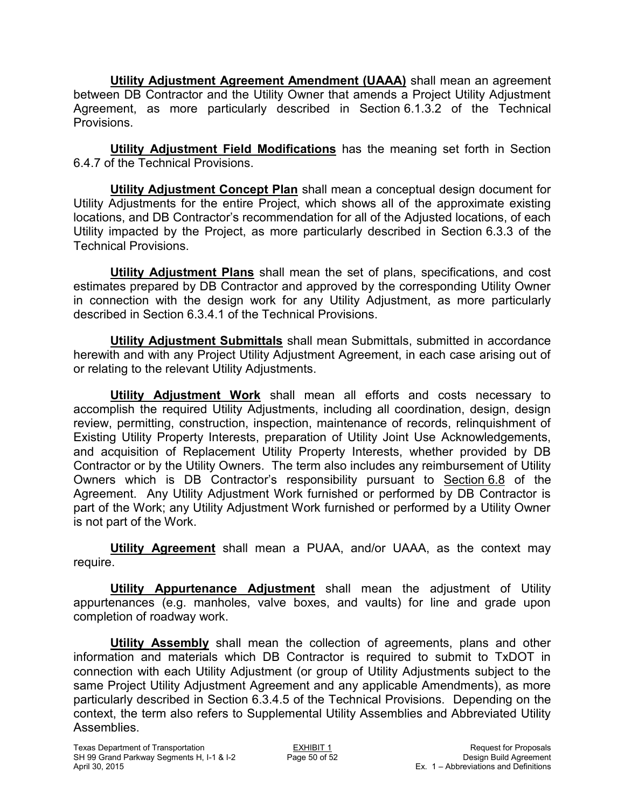**Utility Adjustment Agreement Amendment (UAAA)** shall mean an agreement between DB Contractor and the Utility Owner that amends a Project Utility Adjustment Agreement, as more particularly described in Section 6.1.3.2 of the Technical Provisions.

**Utility Adjustment Field Modifications** has the meaning set forth in Section 6.4.7 of the Technical Provisions.

**Utility Adjustment Concept Plan** shall mean a conceptual design document for Utility Adjustments for the entire Project, which shows all of the approximate existing locations, and DB Contractor's recommendation for all of the Adjusted locations, of each Utility impacted by the Project, as more particularly described in Section 6.3.3 of the Technical Provisions.

**Utility Adjustment Plans** shall mean the set of plans, specifications, and cost estimates prepared by DB Contractor and approved by the corresponding Utility Owner in connection with the design work for any Utility Adjustment, as more particularly described in Section 6.3.4.1 of the Technical Provisions.

**Utility Adjustment Submittals** shall mean Submittals, submitted in accordance herewith and with any Project Utility Adjustment Agreement, in each case arising out of or relating to the relevant Utility Adjustments.

**Utility Adjustment Work** shall mean all efforts and costs necessary to accomplish the required Utility Adjustments, including all coordination, design, design review, permitting, construction, inspection, maintenance of records, relinquishment of Existing Utility Property Interests, preparation of Utility Joint Use Acknowledgements, and acquisition of Replacement Utility Property Interests, whether provided by DB Contractor or by the Utility Owners. The term also includes any reimbursement of Utility Owners which is DB Contractor's responsibility pursuant to Section 6.8 of the Agreement. Any Utility Adjustment Work furnished or performed by DB Contractor is part of the Work; any Utility Adjustment Work furnished or performed by a Utility Owner is not part of the Work.

**Utility Agreement** shall mean a PUAA, and/or UAAA, as the context may require.

**Utility Appurtenance Adjustment** shall mean the adjustment of Utility appurtenances (e.g. manholes, valve boxes, and vaults) for line and grade upon completion of roadway work.

**Utility Assembly** shall mean the collection of agreements, plans and other information and materials which DB Contractor is required to submit to TxDOT in connection with each Utility Adjustment (or group of Utility Adjustments subject to the same Project Utility Adjustment Agreement and any applicable Amendments), as more particularly described in Section 6.3.4.5 of the Technical Provisions. Depending on the context, the term also refers to Supplemental Utility Assemblies and Abbreviated Utility Assemblies.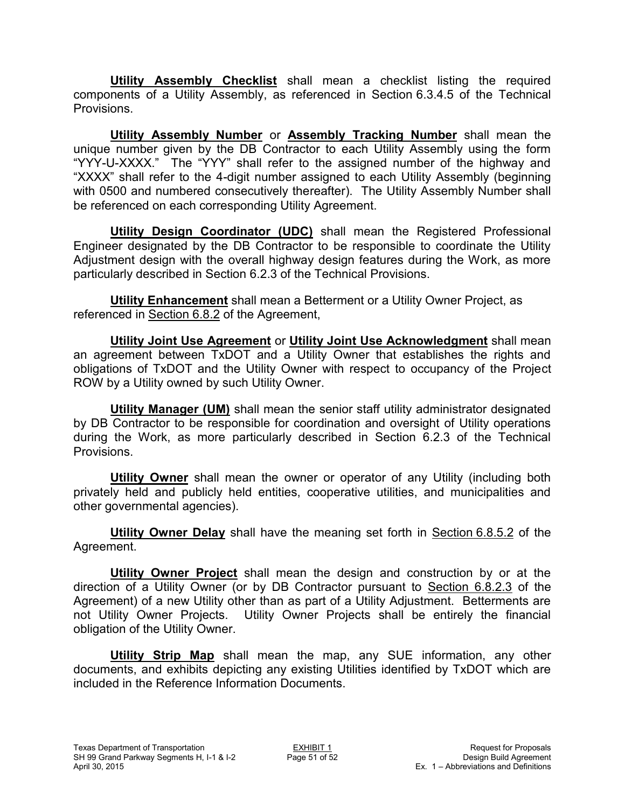**Utility Assembly Checklist** shall mean a checklist listing the required components of a Utility Assembly, as referenced in Section 6.3.4.5 of the Technical Provisions.

**Utility Assembly Number** or **Assembly Tracking Number** shall mean the unique number given by the DB Contractor to each Utility Assembly using the form "YYY-U-XXXX." The "YYY" shall refer to the assigned number of the highway and "XXXX" shall refer to the 4-digit number assigned to each Utility Assembly (beginning with 0500 and numbered consecutively thereafter). The Utility Assembly Number shall be referenced on each corresponding Utility Agreement.

**Utility Design Coordinator (UDC)** shall mean the Registered Professional Engineer designated by the DB Contractor to be responsible to coordinate the Utility Adjustment design with the overall highway design features during the Work, as more particularly described in Section 6.2.3 of the Technical Provisions.

**Utility Enhancement** shall mean a Betterment or a Utility Owner Project, as referenced in Section 6.8.2 of the Agreement,

**Utility Joint Use Agreement** or **Utility Joint Use Acknowledgment** shall mean an agreement between TxDOT and a Utility Owner that establishes the rights and obligations of TxDOT and the Utility Owner with respect to occupancy of the Project ROW by a Utility owned by such Utility Owner.

**Utility Manager (UM)** shall mean the senior staff utility administrator designated by DB Contractor to be responsible for coordination and oversight of Utility operations during the Work, as more particularly described in Section 6.2.3 of the Technical Provisions.

**Utility Owner** shall mean the owner or operator of any Utility (including both privately held and publicly held entities, cooperative utilities, and municipalities and other governmental agencies).

**Utility Owner Delay** shall have the meaning set forth in Section 6.8.5.2 of the Agreement.

**Utility Owner Project** shall mean the design and construction by or at the direction of a Utility Owner (or by DB Contractor pursuant to Section 6.8.2.3 of the Agreement) of a new Utility other than as part of a Utility Adjustment. Betterments are not Utility Owner Projects. Utility Owner Projects shall be entirely the financial obligation of the Utility Owner.

**Utility Strip Map** shall mean the map, any SUE information, any other documents, and exhibits depicting any existing Utilities identified by TxDOT which are included in the Reference Information Documents.